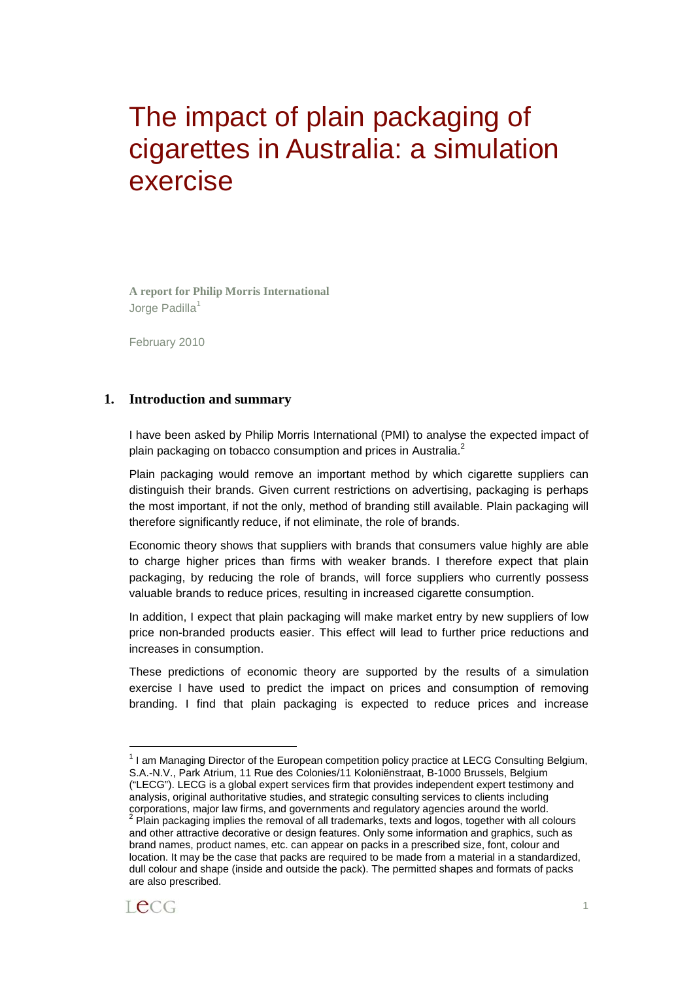# The impact of plain packaging of cigarettes in Australia: a simulation exercise

**A report for Philip Morris International**  Jorge Padilla<sup>1</sup>

February 2010

#### **1. Introduction and summary**

I have been asked by Philip Morris International (PMI) to analyse the expected impact of plain packaging on tobacco consumption and prices in Australia.<sup>2</sup>

Plain packaging would remove an important method by which cigarette suppliers can distinguish their brands. Given current restrictions on advertising, packaging is perhaps the most important, if not the only, method of branding still available. Plain packaging will therefore significantly reduce, if not eliminate, the role of brands.

Economic theory shows that suppliers with brands that consumers value highly are able to charge higher prices than firms with weaker brands. I therefore expect that plain packaging, by reducing the role of brands, will force suppliers who currently possess valuable brands to reduce prices, resulting in increased cigarette consumption.

In addition, I expect that plain packaging will make market entry by new suppliers of low price non-branded products easier. This effect will lead to further price reductions and increases in consumption.

These predictions of economic theory are supported by the results of a simulation exercise I have used to predict the impact on prices and consumption of removing branding. I find that plain packaging is expected to reduce prices and increase

and other attractive decorative or design features. Only some information and graphics, such as brand names, product names, etc. can appear on packs in a prescribed size, font, colour and location. It may be the case that packs are required to be made from a material in a standardized, dull colour and shape (inside and outside the pack). The permitted shapes and formats of packs are also prescribed.



 $\overline{a}$ 

<sup>&</sup>lt;sup>1</sup> I am Managing Director of the European competition policy practice at LECG Consulting Belgium, S.A.-N.V., Park Atrium, 11 Rue des Colonies/11 Koloniënstraat, B-1000 Brussels, Belgium

<sup>(&</sup>quot;LECG"). LECG is a global expert services firm that provides independent expert testimony and analysis, original authoritative studies, and strategic consulting services to clients including corporations, major law firms, and governments and regulatory agencies around the world.<br><sup>2</sup> Plain packaging implies the removal of all trademarks, texts and logos, together with all colours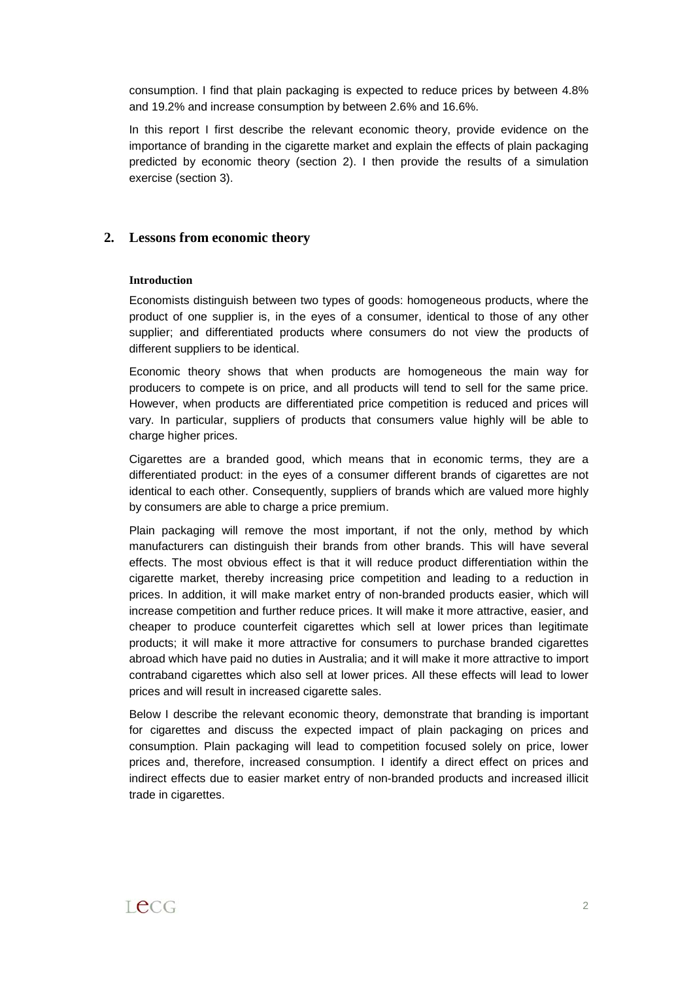consumption. I find that plain packaging is expected to reduce prices by between 4.8% and 19.2% and increase consumption by between 2.6% and 16.6%.

In this report I first describe the relevant economic theory, provide evidence on the importance of branding in the cigarette market and explain the effects of plain packaging predicted by economic theory (section 2). I then provide the results of a simulation exercise (section 3).

# **2. Lessons from economic theory**

#### **Introduction**

Economists distinguish between two types of goods: homogeneous products, where the product of one supplier is, in the eyes of a consumer, identical to those of any other supplier; and differentiated products where consumers do not view the products of different suppliers to be identical.

Economic theory shows that when products are homogeneous the main way for producers to compete is on price, and all products will tend to sell for the same price. However, when products are differentiated price competition is reduced and prices will vary. In particular, suppliers of products that consumers value highly will be able to charge higher prices.

Cigarettes are a branded good, which means that in economic terms, they are a differentiated product: in the eyes of a consumer different brands of cigarettes are not identical to each other. Consequently, suppliers of brands which are valued more highly by consumers are able to charge a price premium.

Plain packaging will remove the most important, if not the only, method by which manufacturers can distinguish their brands from other brands. This will have several effects. The most obvious effect is that it will reduce product differentiation within the cigarette market, thereby increasing price competition and leading to a reduction in prices. In addition, it will make market entry of non-branded products easier, which will increase competition and further reduce prices. It will make it more attractive, easier, and cheaper to produce counterfeit cigarettes which sell at lower prices than legitimate products; it will make it more attractive for consumers to purchase branded cigarettes abroad which have paid no duties in Australia; and it will make it more attractive to import contraband cigarettes which also sell at lower prices. All these effects will lead to lower prices and will result in increased cigarette sales.

Below I describe the relevant economic theory, demonstrate that branding is important for cigarettes and discuss the expected impact of plain packaging on prices and consumption. Plain packaging will lead to competition focused solely on price, lower prices and, therefore, increased consumption. I identify a direct effect on prices and indirect effects due to easier market entry of non-branded products and increased illicit trade in cigarettes.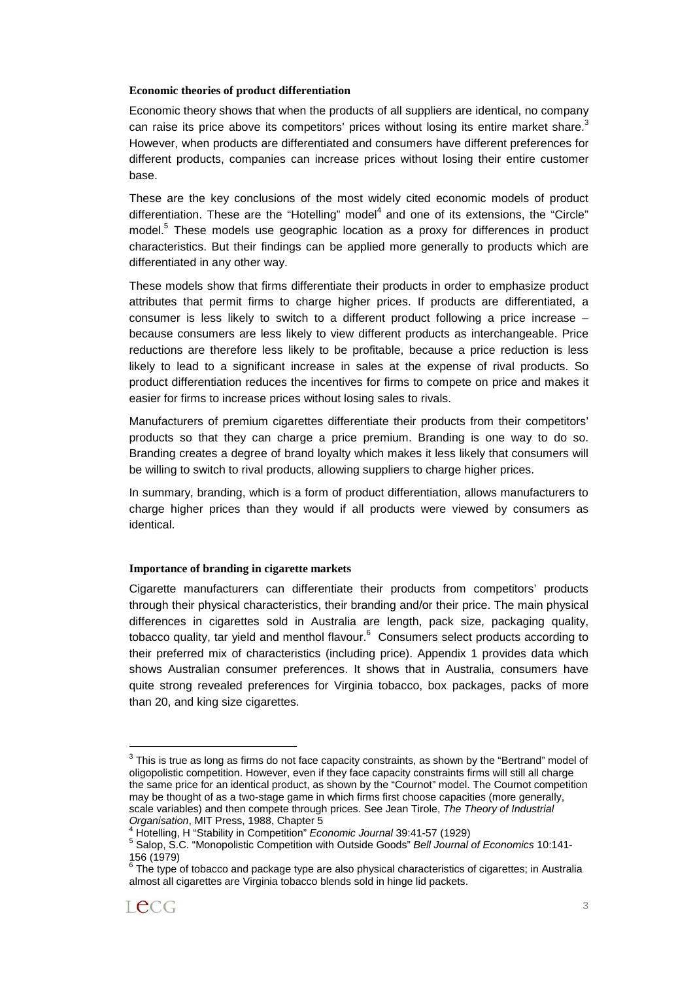#### **Economic theories of product differentiation**

Economic theory shows that when the products of all suppliers are identical, no company can raise its price above its competitors' prices without losing its entire market share. $3$ However, when products are differentiated and consumers have different preferences for different products, companies can increase prices without losing their entire customer base.

These are the key conclusions of the most widely cited economic models of product differentiation. These are the "Hotelling" model<sup>4</sup> and one of its extensions, the "Circle" model.<sup>5</sup> These models use geographic location as a proxy for differences in product characteristics. But their findings can be applied more generally to products which are differentiated in any other way.

These models show that firms differentiate their products in order to emphasize product attributes that permit firms to charge higher prices. If products are differentiated, a consumer is less likely to switch to a different product following a price increase – because consumers are less likely to view different products as interchangeable. Price reductions are therefore less likely to be profitable, because a price reduction is less likely to lead to a significant increase in sales at the expense of rival products. So product differentiation reduces the incentives for firms to compete on price and makes it easier for firms to increase prices without losing sales to rivals.

Manufacturers of premium cigarettes differentiate their products from their competitors' products so that they can charge a price premium. Branding is one way to do so. Branding creates a degree of brand loyalty which makes it less likely that consumers will be willing to switch to rival products, allowing suppliers to charge higher prices.

In summary, branding, which is a form of product differentiation, allows manufacturers to charge higher prices than they would if all products were viewed by consumers as identical.

# **Importance of branding in cigarette markets**

Cigarette manufacturers can differentiate their products from competitors' products through their physical characteristics, their branding and/or their price. The main physical differences in cigarettes sold in Australia are length, pack size, packaging quality, tobacco quality, tar yield and menthol flavour.<sup>6</sup> Consumers select products according to their preferred mix of characteristics (including price). Appendix 1 provides data which shows Australian consumer preferences. It shows that in Australia, consumers have quite strong revealed preferences for Virginia tobacco, box packages, packs of more than 20, and king size cigarettes.

 $\overline{a}$ 

 $3$  This is true as long as firms do not face capacity constraints, as shown by the "Bertrand" model of oligopolistic competition. However, even if they face capacity constraints firms will still all charge the same price for an identical product, as shown by the "Cournot" model. The Cournot competition may be thought of as a two-stage game in which firms first choose capacities (more generally, scale variables) and then compete through prices. See Jean Tirole, The Theory of Industrial Organisation, MIT Press, 1988, Chapter 5

<sup>&</sup>lt;sup>4</sup> Hotelling, H "Stability in Competition" Economic Journal 39:41-57 (1929)

<sup>&</sup>lt;sup>5</sup> Salop, S.C. "Monopolistic Competition with Outside Goods" Bell Journal of Economics 10:141-156 (1979)<br><sup>6</sup> The time o

The type of tobacco and package type are also physical characteristics of cigarettes; in Australia almost all cigarettes are Virginia tobacco blends sold in hinge lid packets.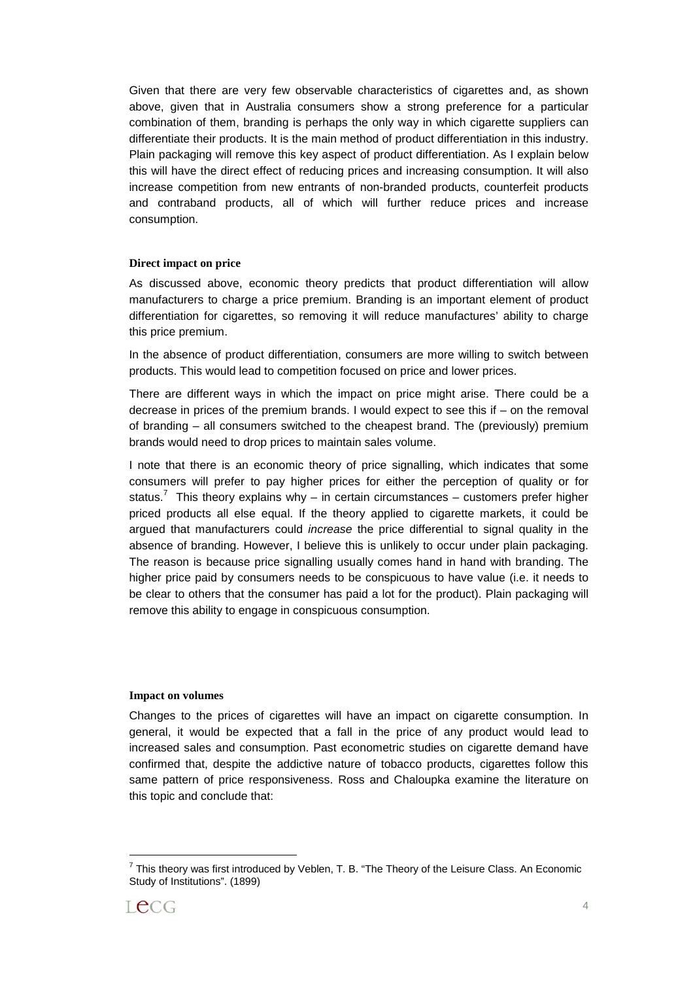Given that there are very few observable characteristics of cigarettes and, as shown above, given that in Australia consumers show a strong preference for a particular combination of them, branding is perhaps the only way in which cigarette suppliers can differentiate their products. It is the main method of product differentiation in this industry. Plain packaging will remove this key aspect of product differentiation. As I explain below this will have the direct effect of reducing prices and increasing consumption. It will also increase competition from new entrants of non-branded products, counterfeit products and contraband products, all of which will further reduce prices and increase consumption.

#### **Direct impact on price**

As discussed above, economic theory predicts that product differentiation will allow manufacturers to charge a price premium. Branding is an important element of product differentiation for cigarettes, so removing it will reduce manufactures' ability to charge this price premium.

In the absence of product differentiation, consumers are more willing to switch between products. This would lead to competition focused on price and lower prices.

There are different ways in which the impact on price might arise. There could be a decrease in prices of the premium brands. I would expect to see this if – on the removal of branding – all consumers switched to the cheapest brand. The (previously) premium brands would need to drop prices to maintain sales volume.

I note that there is an economic theory of price signalling, which indicates that some consumers will prefer to pay higher prices for either the perception of quality or for status.<sup>7</sup> This theory explains why – in certain circumstances – customers prefer higher priced products all else equal. If the theory applied to cigarette markets, it could be argued that manufacturers could increase the price differential to signal quality in the absence of branding. However, I believe this is unlikely to occur under plain packaging. The reason is because price signalling usually comes hand in hand with branding. The higher price paid by consumers needs to be conspicuous to have value (i.e. it needs to be clear to others that the consumer has paid a lot for the product). Plain packaging will remove this ability to engage in conspicuous consumption.

#### **Impact on volumes**

Changes to the prices of cigarettes will have an impact on cigarette consumption. In general, it would be expected that a fall in the price of any product would lead to increased sales and consumption. Past econometric studies on cigarette demand have confirmed that, despite the addictive nature of tobacco products, cigarettes follow this same pattern of price responsiveness. Ross and Chaloupka examine the literature on this topic and conclude that:

 $^7$  This theory was first introduced by Veblen, T. B. "The Theory of the Leisure Class. An Economic Study of Institutions". (1899)

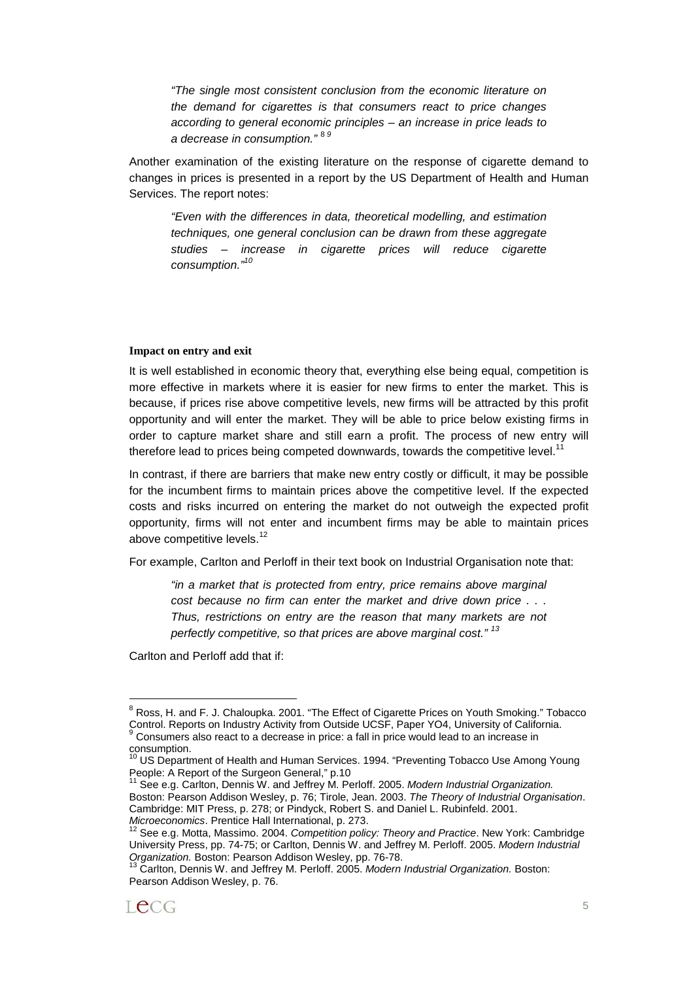"The single most consistent conclusion from the economic literature on the demand for cigarettes is that consumers react to price changes according to general economic principles – an increase in price leads to a decrease in consumption."<sup>89</sup>

Another examination of the existing literature on the response of cigarette demand to changes in prices is presented in a report by the US Department of Health and Human Services. The report notes:

"Even with the differences in data, theoretical modelling, and estimation techniques, one general conclusion can be drawn from these aggregate studies – increase in cigarette prices will reduce cigarette consumption."<sup>10</sup>

#### **Impact on entry and exit**

It is well established in economic theory that, everything else being equal, competition is more effective in markets where it is easier for new firms to enter the market. This is because, if prices rise above competitive levels, new firms will be attracted by this profit opportunity and will enter the market. They will be able to price below existing firms in order to capture market share and still earn a profit. The process of new entry will therefore lead to prices being competed downwards, towards the competitive level.<sup>11</sup>

In contrast, if there are barriers that make new entry costly or difficult, it may be possible for the incumbent firms to maintain prices above the competitive level. If the expected costs and risks incurred on entering the market do not outweigh the expected profit opportunity, firms will not enter and incumbent firms may be able to maintain prices above competitive levels.<sup>12</sup>

For example, Carlton and Perloff in their text book on Industrial Organisation note that:

"in a market that is protected from entry, price remains above marginal cost because no firm can enter the market and drive down price . . . Thus, restrictions on entry are the reason that many markets are not perfectly competitive, so that prices are above marginal cost."  $13$ 

Carlton and Perloff add that if:

<sup>&</sup>lt;sup>8</sup> Ross, H. and F. J. Chaloupka. 2001. "The Effect of Cigarette Prices on Youth Smoking." Tobacco Control. Reports on Industry Activity from Outside UCSF, Paper YO4, University of California. 9 Consumers also react to a decrease in price: a fall in price would lead to an increase in consumption.

<sup>&</sup>lt;sup>10</sup> US Department of Health and Human Services. 1994. "Preventing Tobacco Use Among Young People: A Report of the Surgeon General," p.10

See e.g. Carlton, Dennis W. and Jeffrey M. Perloff. 2005. Modern Industrial Organization. Boston: Pearson Addison Wesley, p. 76; Tirole, Jean. 2003. The Theory of Industrial Organisation. Cambridge: MIT Press, p. 278; or Pindyck, Robert S. and Daniel L. Rubinfeld. 2001.

Microeconomics. Prentice Hall International, p. 273.<br><sup>12</sup> See e.g. Motta, Massimo. 2004. Competition policy: Theory and Practice. New York: Cambridge University Press, pp. 74-75; or Carlton, Dennis W. and Jeffrey M. Perloff. 2005. Modern Industrial Organization. Boston: Pearson Addison Wesley, pp. 76-78.<br><sup>13</sup> Carlton, Dennis W. and Jeffrey M. Perloff. 2005. Modern Industrial Organization. Boston:

Pearson Addison Wesley, p. 76.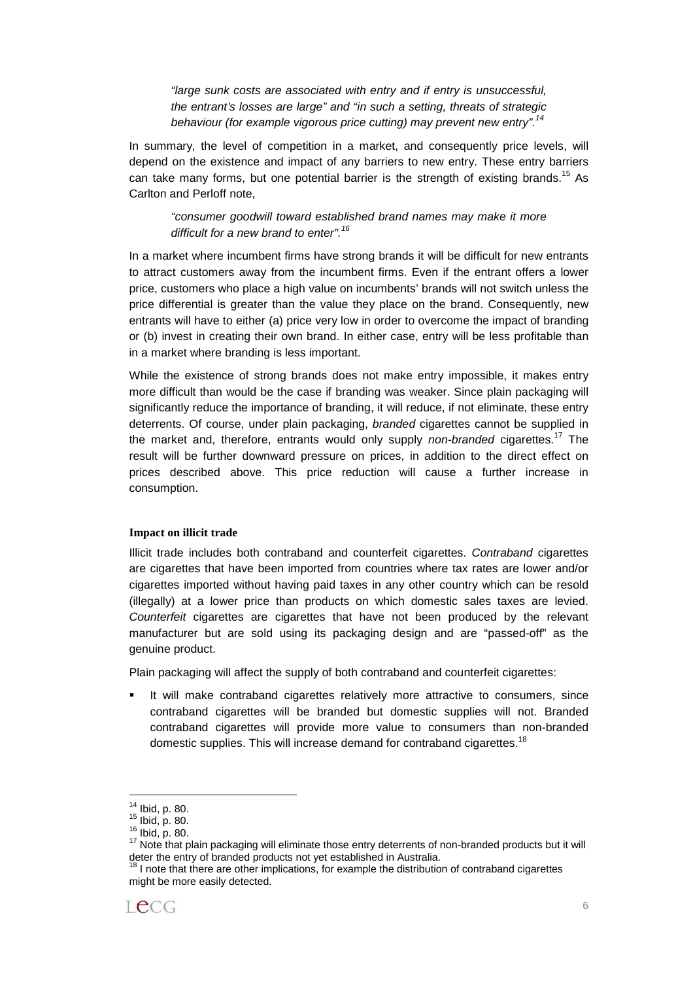"large sunk costs are associated with entry and if entry is unsuccessful, the entrant's losses are large" and "in such a setting, threats of strategic behaviour (for example vigorous price cutting) may prevent new entry".<sup>14</sup>

In summary, the level of competition in a market, and consequently price levels, will depend on the existence and impact of any barriers to new entry. These entry barriers can take many forms, but one potential barrier is the strength of existing brands.<sup>15</sup> As Carlton and Perloff note,

"consumer goodwill toward established brand names may make it more difficult for a new brand to enter".<sup>16</sup>

In a market where incumbent firms have strong brands it will be difficult for new entrants to attract customers away from the incumbent firms. Even if the entrant offers a lower price, customers who place a high value on incumbents' brands will not switch unless the price differential is greater than the value they place on the brand. Consequently, new entrants will have to either (a) price very low in order to overcome the impact of branding or (b) invest in creating their own brand. In either case, entry will be less profitable than in a market where branding is less important.

While the existence of strong brands does not make entry impossible, it makes entry more difficult than would be the case if branding was weaker. Since plain packaging will significantly reduce the importance of branding, it will reduce, if not eliminate, these entry deterrents. Of course, under plain packaging, branded cigarettes cannot be supplied in the market and, therefore, entrants would only supply non-branded cigarettes.<sup>17</sup> The result will be further downward pressure on prices, in addition to the direct effect on prices described above. This price reduction will cause a further increase in consumption.

#### **Impact on illicit trade**

Illicit trade includes both contraband and counterfeit cigarettes. Contraband cigarettes are cigarettes that have been imported from countries where tax rates are lower and/or cigarettes imported without having paid taxes in any other country which can be resold (illegally) at a lower price than products on which domestic sales taxes are levied. Counterfeit cigarettes are cigarettes that have not been produced by the relevant manufacturer but are sold using its packaging design and are "passed-off" as the genuine product.

Plain packaging will affect the supply of both contraband and counterfeit cigarettes:

 It will make contraband cigarettes relatively more attractive to consumers, since contraband cigarettes will be branded but domestic supplies will not. Branded contraband cigarettes will provide more value to consumers than non-branded domestic supplies. This will increase demand for contraband cigarettes.<sup>18</sup>

I note that there are other implications, for example the distribution of contraband cigarettes might be more easily detected.



<sup>&</sup>lt;sup>14</sup> Ibid, p. 80.<br><sup>15</sup> Ibid, p. 80.<br><sup>16</sup> Ibid, p. 80.<br><sup>17</sup> Note that plain packaging will eliminate those entry deterrents of non-branded products but it will deter the entry of branded products not yet established in Australia.<br><sup>18</sup> Lnets that these such as the state of the state of the state of the state of the state of the state of the state of the state of the state of the s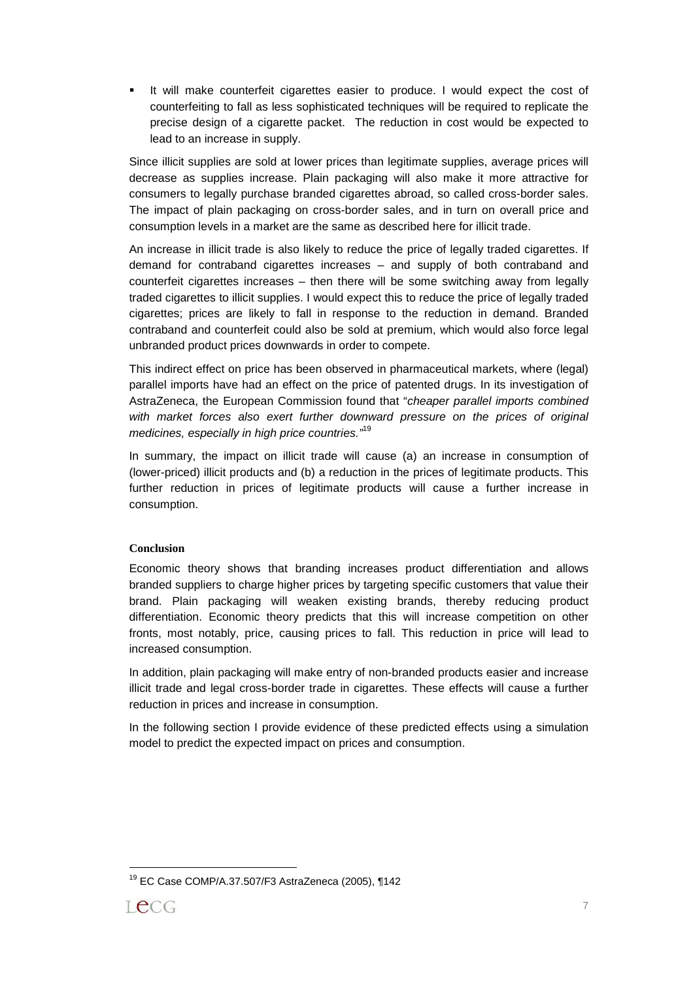It will make counterfeit cigarettes easier to produce. I would expect the cost of counterfeiting to fall as less sophisticated techniques will be required to replicate the precise design of a cigarette packet. The reduction in cost would be expected to lead to an increase in supply.

Since illicit supplies are sold at lower prices than legitimate supplies, average prices will decrease as supplies increase. Plain packaging will also make it more attractive for consumers to legally purchase branded cigarettes abroad, so called cross-border sales. The impact of plain packaging on cross-border sales, and in turn on overall price and consumption levels in a market are the same as described here for illicit trade.

An increase in illicit trade is also likely to reduce the price of legally traded cigarettes. If demand for contraband cigarettes increases – and supply of both contraband and counterfeit cigarettes increases – then there will be some switching away from legally traded cigarettes to illicit supplies. I would expect this to reduce the price of legally traded cigarettes; prices are likely to fall in response to the reduction in demand. Branded contraband and counterfeit could also be sold at premium, which would also force legal unbranded product prices downwards in order to compete.

This indirect effect on price has been observed in pharmaceutical markets, where (legal) parallel imports have had an effect on the price of patented drugs. In its investigation of AstraZeneca, the European Commission found that "cheaper parallel imports combined with market forces also exert further downward pressure on the prices of original medicines, especially in high price countries."<sup>19</sup>

In summary, the impact on illicit trade will cause (a) an increase in consumption of (lower-priced) illicit products and (b) a reduction in the prices of legitimate products. This further reduction in prices of legitimate products will cause a further increase in consumption.

# **Conclusion**

Economic theory shows that branding increases product differentiation and allows branded suppliers to charge higher prices by targeting specific customers that value their brand. Plain packaging will weaken existing brands, thereby reducing product differentiation. Economic theory predicts that this will increase competition on other fronts, most notably, price, causing prices to fall. This reduction in price will lead to increased consumption.

In addition, plain packaging will make entry of non-branded products easier and increase illicit trade and legal cross-border trade in cigarettes. These effects will cause a further reduction in prices and increase in consumption.

In the following section I provide evidence of these predicted effects using a simulation model to predict the expected impact on prices and consumption.

<sup>19</sup> EC Case COMP/A.37.507/F3 AstraZeneca (2005), ¶142



 $\overline{a}$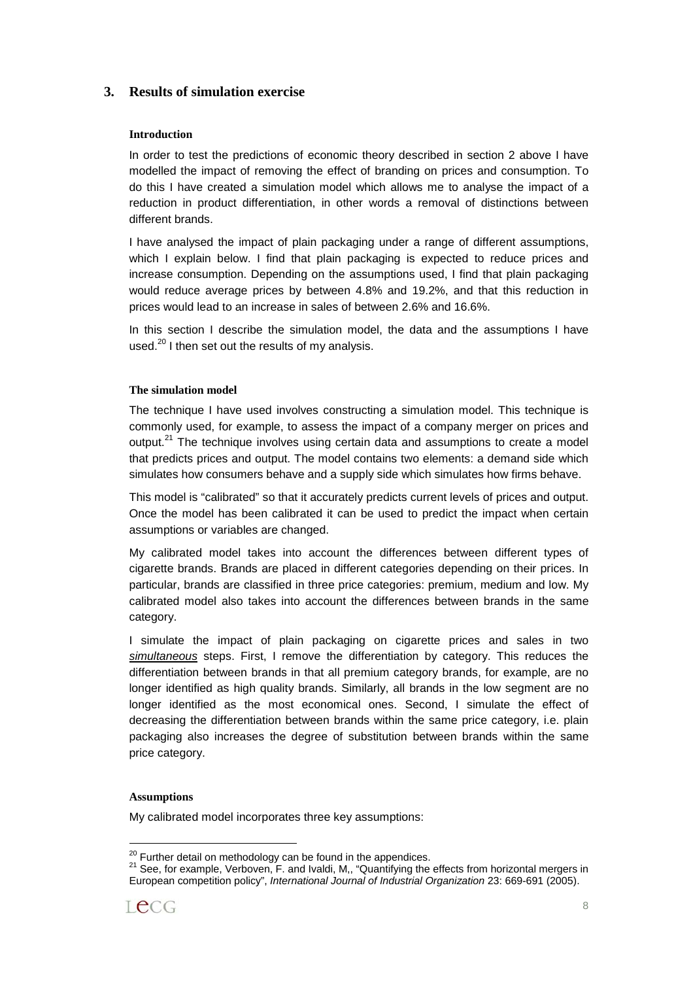# **3. Results of simulation exercise**

### **Introduction**

In order to test the predictions of economic theory described in section 2 above I have modelled the impact of removing the effect of branding on prices and consumption. To do this I have created a simulation model which allows me to analyse the impact of a reduction in product differentiation, in other words a removal of distinctions between different brands.

I have analysed the impact of plain packaging under a range of different assumptions, which I explain below. I find that plain packaging is expected to reduce prices and increase consumption. Depending on the assumptions used, I find that plain packaging would reduce average prices by between 4.8% and 19.2%, and that this reduction in prices would lead to an increase in sales of between 2.6% and 16.6%.

In this section I describe the simulation model, the data and the assumptions I have used. $^{20}$  I then set out the results of my analysis.

#### **The simulation model**

The technique I have used involves constructing a simulation model. This technique is commonly used, for example, to assess the impact of a company merger on prices and output.<sup>21</sup> The technique involves using certain data and assumptions to create a model that predicts prices and output. The model contains two elements: a demand side which simulates how consumers behave and a supply side which simulates how firms behave.

This model is "calibrated" so that it accurately predicts current levels of prices and output. Once the model has been calibrated it can be used to predict the impact when certain assumptions or variables are changed.

My calibrated model takes into account the differences between different types of cigarette brands. Brands are placed in different categories depending on their prices. In particular, brands are classified in three price categories: premium, medium and low. My calibrated model also takes into account the differences between brands in the same category.

I simulate the impact of plain packaging on cigarette prices and sales in two simultaneous steps. First, I remove the differentiation by category. This reduces the differentiation between brands in that all premium category brands, for example, are no longer identified as high quality brands. Similarly, all brands in the low segment are no longer identified as the most economical ones. Second, I simulate the effect of decreasing the differentiation between brands within the same price category, i.e. plain packaging also increases the degree of substitution between brands within the same price category.

#### **Assumptions**

My calibrated model incorporates three key assumptions:

<sup>&</sup>lt;sup>20</sup> Further detail on methodology can be found in the appendices.<br><sup>21</sup> See, for example, Verboven, F. and Ivaldi, M,, "Quantifying the effects from horizontal mergers in European competition policy", International Journal of Industrial Organization 23: 669-691 (2005).

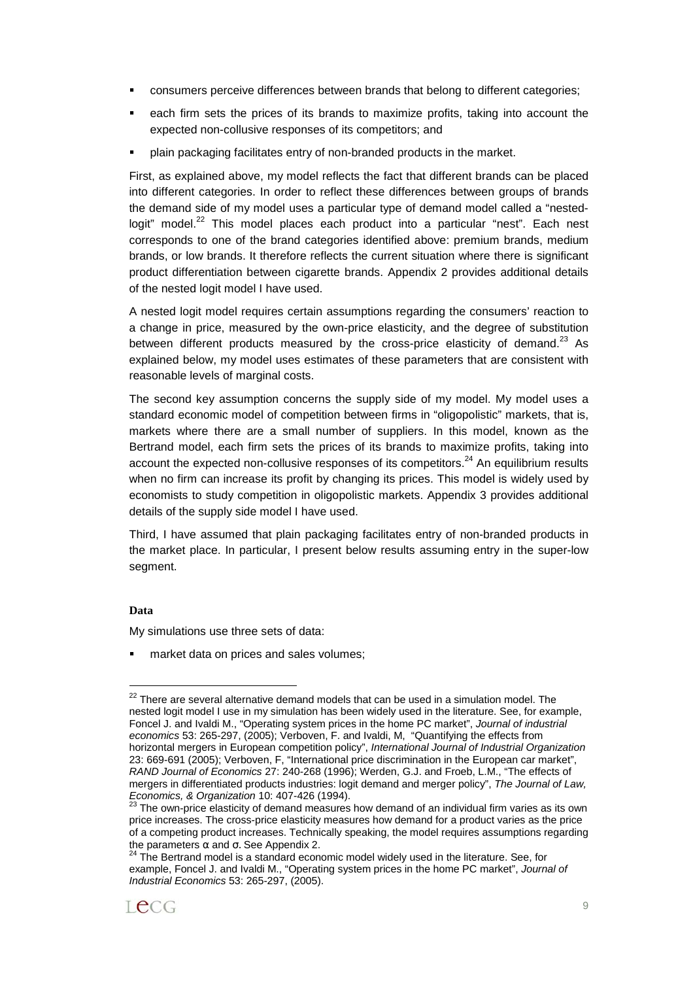- consumers perceive differences between brands that belong to different categories;
- each firm sets the prices of its brands to maximize profits, taking into account the expected non-collusive responses of its competitors; and
- plain packaging facilitates entry of non-branded products in the market.

First, as explained above, my model reflects the fact that different brands can be placed into different categories. In order to reflect these differences between groups of brands the demand side of my model uses a particular type of demand model called a "nestedlogit" model.<sup>22</sup> This model places each product into a particular "nest". Each nest corresponds to one of the brand categories identified above: premium brands, medium brands, or low brands. It therefore reflects the current situation where there is significant product differentiation between cigarette brands. Appendix 2 provides additional details of the nested logit model I have used.

A nested logit model requires certain assumptions regarding the consumers' reaction to a change in price, measured by the own-price elasticity, and the degree of substitution between different products measured by the cross-price elasticity of demand.<sup>23</sup> As explained below, my model uses estimates of these parameters that are consistent with reasonable levels of marginal costs.

The second key assumption concerns the supply side of my model. My model uses a standard economic model of competition between firms in "oligopolistic" markets, that is, markets where there are a small number of suppliers. In this model, known as the Bertrand model, each firm sets the prices of its brands to maximize profits, taking into account the expected non-collusive responses of its competitors.<sup>24</sup> An equilibrium results when no firm can increase its profit by changing its prices. This model is widely used by economists to study competition in oligopolistic markets. Appendix 3 provides additional details of the supply side model I have used.

Third, I have assumed that plain packaging facilitates entry of non-branded products in the market place. In particular, I present below results assuming entry in the super-low segment.

# **Data**

 $\overline{a}$ 

My simulations use three sets of data:

market data on prices and sales volumes;

The Bertrand model is a standard economic model widely used in the literature. See, for example, Foncel J. and Ivaldi M., "Operating system prices in the home PC market", Journal of Industrial Economics 53: 265-297, (2005).



 $22$  There are several alternative demand models that can be used in a simulation model. The nested logit model I use in my simulation has been widely used in the literature. See, for example, Foncel J. and Ivaldi M., "Operating system prices in the home PC market", Journal of industrial economics 53: 265-297, (2005); Verboven, F. and Ivaldi, M, "Quantifying the effects from horizontal mergers in European competition policy", International Journal of Industrial Organization 23: 669-691 (2005); Verboven, F, "International price discrimination in the European car market", RAND Journal of Economics 27: 240-268 (1996); Werden, G.J. and Froeb, L.M., "The effects of mergers in differentiated products industries: logit demand and merger policy", The Journal of Law, Economics, & Organization 10: 407-426 (1994).<br><sup>23</sup> The own-price elasticity of demand measures how demand of an individual firm varies as its own

price increases. The cross-price elasticity measures how demand for a product varies as the price of a competing product increases. Technically speaking, the model requires assumptions regarding<br>the parameters  $\alpha$  and  $\sigma$ . See Appendix 2.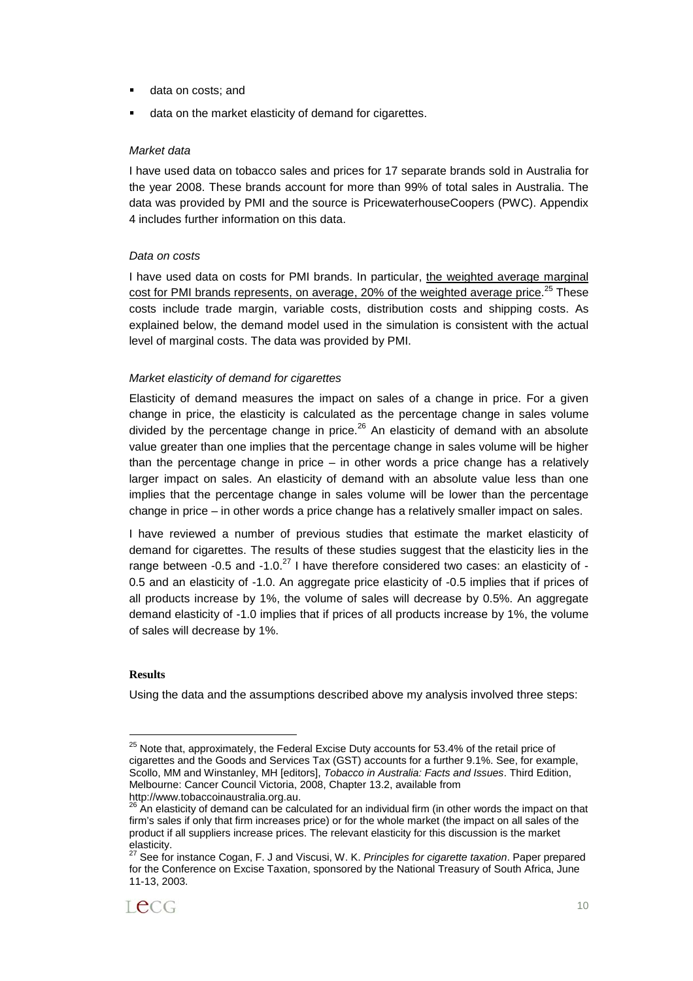- data on costs; and
- data on the market elasticity of demand for cigarettes.

#### Market data

I have used data on tobacco sales and prices for 17 separate brands sold in Australia for the year 2008. These brands account for more than 99% of total sales in Australia. The data was provided by PMI and the source is PricewaterhouseCoopers (PWC). Appendix 4 includes further information on this data.

#### Data on costs

I have used data on costs for PMI brands. In particular, the weighted average marginal cost for PMI brands represents, on average, 20% of the weighted average price.<sup>25</sup> These costs include trade margin, variable costs, distribution costs and shipping costs. As explained below, the demand model used in the simulation is consistent with the actual level of marginal costs. The data was provided by PMI.

#### Market elasticity of demand for cigarettes

Elasticity of demand measures the impact on sales of a change in price. For a given change in price, the elasticity is calculated as the percentage change in sales volume divided by the percentage change in price. $^{26}$  An elasticity of demand with an absolute value greater than one implies that the percentage change in sales volume will be higher than the percentage change in price – in other words a price change has a relatively larger impact on sales. An elasticity of demand with an absolute value less than one implies that the percentage change in sales volume will be lower than the percentage change in price – in other words a price change has a relatively smaller impact on sales.

I have reviewed a number of previous studies that estimate the market elasticity of demand for cigarettes. The results of these studies suggest that the elasticity lies in the range between -0.5 and -1.0. $^{27}$  I have therefore considered two cases: an elasticity of -0.5 and an elasticity of -1.0. An aggregate price elasticity of -0.5 implies that if prices of all products increase by 1%, the volume of sales will decrease by 0.5%. An aggregate demand elasticity of -1.0 implies that if prices of all products increase by 1%, the volume of sales will decrease by 1%.

#### **Results**

l

Using the data and the assumptions described above my analysis involved three steps:

 $25$  Note that, approximately, the Federal Excise Duty accounts for 53.4% of the retail price of cigarettes and the Goods and Services Tax (GST) accounts for a further 9.1%. See, for example, Scollo, MM and Winstanley, MH [editors], Tobacco in Australia: Facts and Issues. Third Edition, Melbourne: Cancer Council Victoria, 2008, Chapter 13.2, available from http://www.tobaccoinaustralia.org.au.

 $\overline{2}$  An elasticity of demand can be calculated for an individual firm (in other words the impact on that firm's sales if only that firm increases price) or for the whole market (the impact on all sales of the product if all suppliers increase prices. The relevant elasticity for this discussion is the market elasticity.

See for instance Cogan, F. J and Viscusi, W. K. Principles for cigarette taxation. Paper prepared for the Conference on Excise Taxation, sponsored by the National Treasury of South Africa, June 11-13, 2003.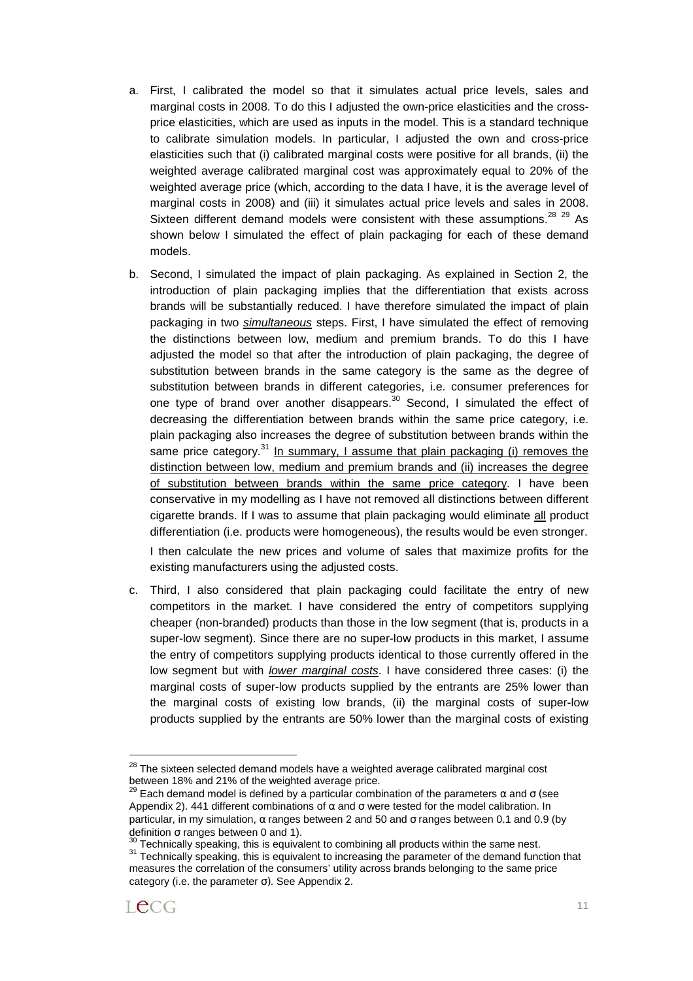- a. First, I calibrated the model so that it simulates actual price levels, sales and marginal costs in 2008. To do this I adjusted the own-price elasticities and the crossprice elasticities, which are used as inputs in the model. This is a standard technique to calibrate simulation models. In particular, I adjusted the own and cross-price elasticities such that (i) calibrated marginal costs were positive for all brands, (ii) the weighted average calibrated marginal cost was approximately equal to 20% of the weighted average price (which, according to the data I have, it is the average level of marginal costs in 2008) and (iii) it simulates actual price levels and sales in 2008. Sixteen different demand models were consistent with these assumptions. $^{28}$   $^{29}$  As shown below I simulated the effect of plain packaging for each of these demand models.
- b. Second, I simulated the impact of plain packaging. As explained in Section 2, the introduction of plain packaging implies that the differentiation that exists across brands will be substantially reduced. I have therefore simulated the impact of plain packaging in two *simultaneous* steps. First, I have simulated the effect of removing the distinctions between low, medium and premium brands. To do this I have adjusted the model so that after the introduction of plain packaging, the degree of substitution between brands in the same category is the same as the degree of substitution between brands in different categories, i.e. consumer preferences for one type of brand over another disappears.<sup>30</sup> Second, I simulated the effect of decreasing the differentiation between brands within the same price category, i.e. plain packaging also increases the degree of substitution between brands within the same price category.<sup>31</sup> In summary, I assume that plain packaging (i) removes the distinction between low, medium and premium brands and (ii) increases the degree of substitution between brands within the same price category. I have been conservative in my modelling as I have not removed all distinctions between different cigarette brands. If I was to assume that plain packaging would eliminate all product differentiation (i.e. products were homogeneous), the results would be even stronger.

I then calculate the new prices and volume of sales that maximize profits for the existing manufacturers using the adjusted costs.

c. Third, I also considered that plain packaging could facilitate the entry of new competitors in the market. I have considered the entry of competitors supplying cheaper (non-branded) products than those in the low segment (that is, products in a super-low segment). Since there are no super-low products in this market, I assume the entry of competitors supplying products identical to those currently offered in the low segment but with *lower marginal costs*. I have considered three cases: (i) the marginal costs of super-low products supplied by the entrants are 25% lower than the marginal costs of existing low brands, (ii) the marginal costs of super-low products supplied by the entrants are 50% lower than the marginal costs of existing

<sup>&</sup>lt;sup>30</sup> Technically speaking, this is equivalent to combining all products within the same nest.<br><sup>31</sup> Technically speaking, this is equivalent to increasing the parameter of the demand function that measures the correlation of the consumers' utility across brands belonging to the same price category (i.e. the parameter  $\sigma$ ). See Appendix 2.



 $28$  The sixteen selected demand models have a weighted average calibrated marginal cost between 18% and 21% of the weighted average price.

<sup>&</sup>lt;sup>29</sup> Each demand model is defined by a particular combination of the parameters  $\alpha$  and  $\sigma$  (see Appendix 2). 441 different combinations of  $\alpha$  and  $\sigma$  were tested for the model calibration. In particular, in my simulation,  $\alpha$  ranges between 2 and 50 and σ ranges between 0.1 and 0.9 (by definition σ ranges between 0 and 1).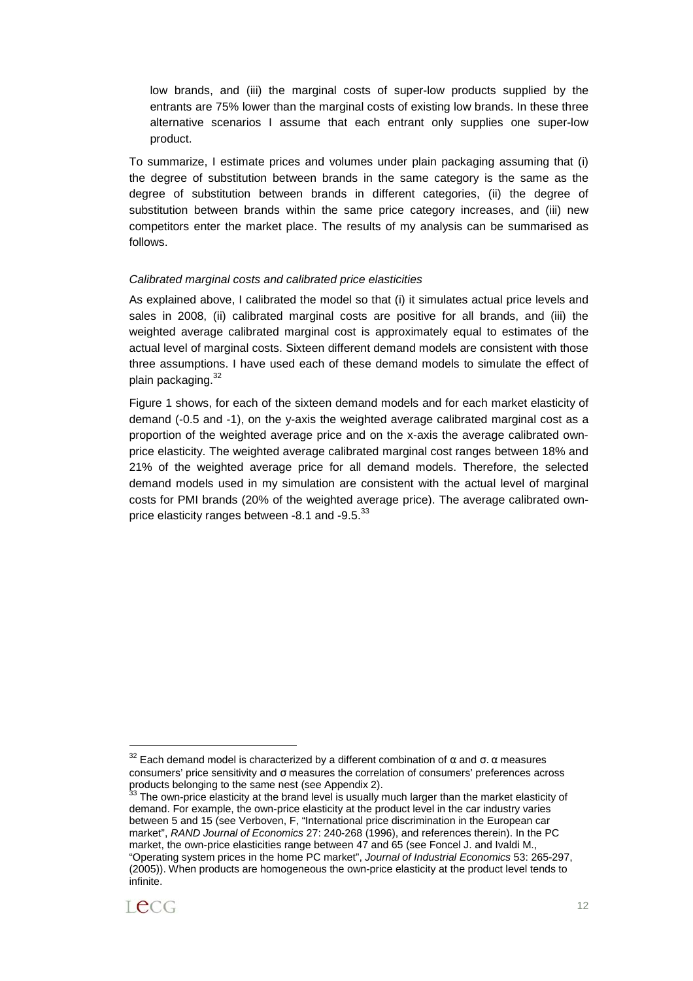low brands, and (iii) the marginal costs of super-low products supplied by the entrants are 75% lower than the marginal costs of existing low brands. In these three alternative scenarios I assume that each entrant only supplies one super-low product.

To summarize, I estimate prices and volumes under plain packaging assuming that (i) the degree of substitution between brands in the same category is the same as the degree of substitution between brands in different categories, (ii) the degree of substitution between brands within the same price category increases, and (iii) new competitors enter the market place. The results of my analysis can be summarised as follows.

#### Calibrated marginal costs and calibrated price elasticities

As explained above, I calibrated the model so that (i) it simulates actual price levels and sales in 2008, (ii) calibrated marginal costs are positive for all brands, and (iii) the weighted average calibrated marginal cost is approximately equal to estimates of the actual level of marginal costs. Sixteen different demand models are consistent with those three assumptions. I have used each of these demand models to simulate the effect of plain packaging.<sup>32</sup>

Figure 1 shows, for each of the sixteen demand models and for each market elasticity of demand (-0.5 and -1), on the y-axis the weighted average calibrated marginal cost as a proportion of the weighted average price and on the x-axis the average calibrated ownprice elasticity. The weighted average calibrated marginal cost ranges between 18% and 21% of the weighted average price for all demand models. Therefore, the selected demand models used in my simulation are consistent with the actual level of marginal costs for PMI brands (20% of the weighted average price). The average calibrated ownprice elasticity ranges between -8.1 and -9.5.<sup>33</sup>

The own-price elasticity at the brand level is usually much larger than the market elasticity of demand. For example, the own-price elasticity at the product level in the car industry varies between 5 and 15 (see Verboven, F, "International price discrimination in the European car market", RAND Journal of Economics 27: 240-268 (1996), and references therein). In the PC market, the own-price elasticities range between 47 and 65 (see Foncel J. and Ivaldi M., "Operating system prices in the home PC market", Journal of Industrial Economics 53: 265-297, (2005)). When products are homogeneous the own-price elasticity at the product level tends to infinite.



<sup>&</sup>lt;sup>32</sup> Each demand model is characterized by a different combination of  $\alpha$  and  $\sigma$ .  $\alpha$  measures consumers' price sensitivity and σ measures the correlation of consumers' preferences across products belonging to the same nest (see Appendix 2).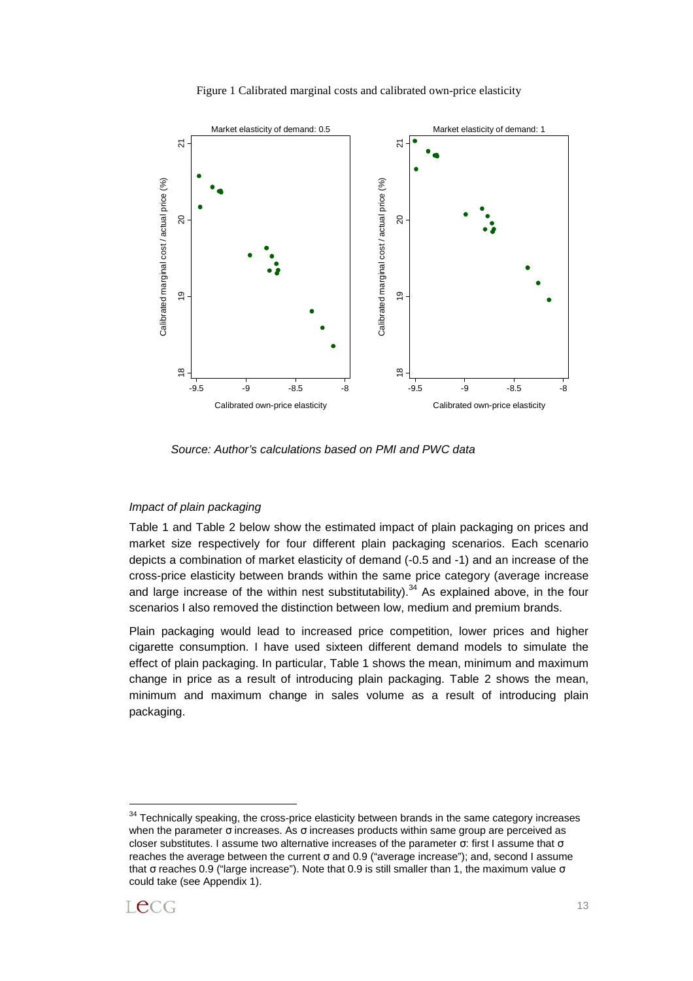



Source: Author's calculations based on PMI and PWC data

#### Impact of plain packaging

Table 1 and Table 2 below show the estimated impact of plain packaging on prices and market size respectively for four different plain packaging scenarios. Each scenario depicts a combination of market elasticity of demand (-0.5 and -1) and an increase of the cross-price elasticity between brands within the same price category (average increase and large increase of the within nest substitutability).<sup>34</sup> As explained above, in the four scenarios I also removed the distinction between low, medium and premium brands.

Plain packaging would lead to increased price competition, lower prices and higher cigarette consumption. I have used sixteen different demand models to simulate the effect of plain packaging. In particular, Table 1 shows the mean, minimum and maximum change in price as a result of introducing plain packaging. Table 2 shows the mean, minimum and maximum change in sales volume as a result of introducing plain packaging.

 $34$  Technically speaking, the cross-price elasticity between brands in the same category increases when the parameter σ increases. As σ increases products within same group are perceived as closer substitutes. I assume two alternative increases of the parameter σ: first I assume that σ reaches the average between the current σ and 0.9 ("average increase"); and, second I assume that σ reaches 0.9 ("large increase"). Note that 0.9 is still smaller than 1, the maximum value σ could take (see Appendix 1).



 $\overline{a}$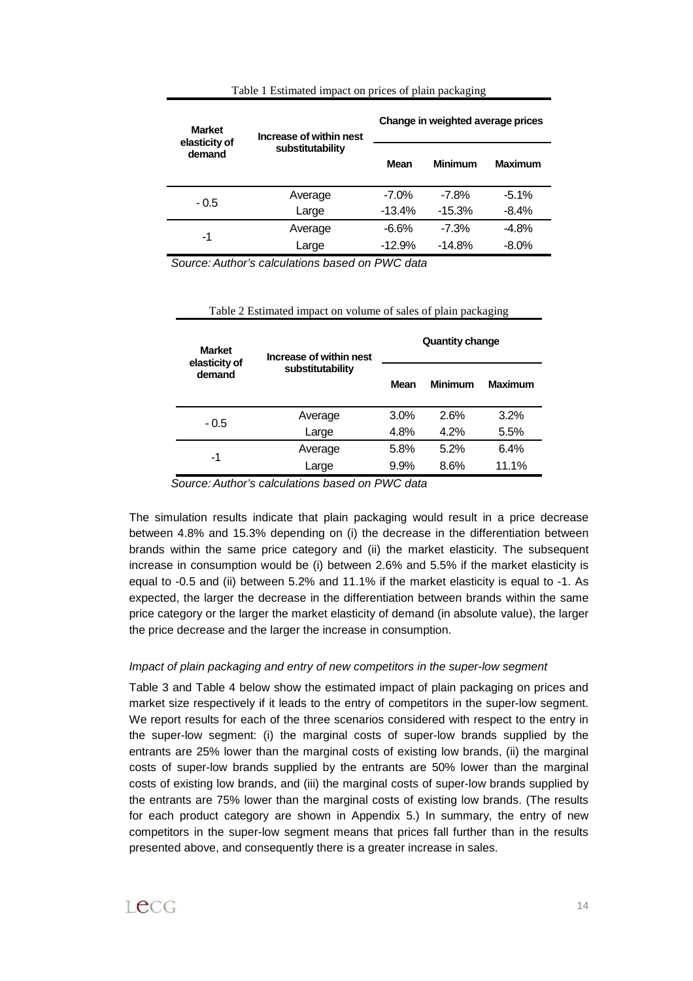| Table 1 Estimated impact on prices of plain packaging |  |  |  |  |
|-------------------------------------------------------|--|--|--|--|
|                                                       |  |  |  |  |

| <b>Market</b><br>elasticity of | Increase of within nest | Change in weighted average prices |                |                |  |
|--------------------------------|-------------------------|-----------------------------------|----------------|----------------|--|
| demand                         | substitutability        | Mean                              | <b>Minimum</b> | <b>Maximum</b> |  |
| - 0.5                          | Average                 | $-7.0%$                           | $-7.8%$        | $-5.1\%$       |  |
|                                | Large                   | $-13.4%$                          | $-15.3%$       | $-8.4%$        |  |
| -1                             | Average                 | $-6.6%$                           | $-7.3%$        | $-4.8%$        |  |
|                                | Large                   | $-12.9%$                          | $-14.8%$       | $-8.0%$        |  |

Source: Author's calculations based on PWC data

| Table 2 Estimated impact on volume of sales of plain packaging |  |
|----------------------------------------------------------------|--|
|----------------------------------------------------------------|--|

| <b>Market</b><br>elasticity of<br>demand | Increase of within nest | <b>Quantity change</b> |         |                |  |
|------------------------------------------|-------------------------|------------------------|---------|----------------|--|
|                                          | substitutability        | Mean                   | Minimum | <b>Maximum</b> |  |
| - 0.5                                    | Average                 | 3.0%                   | 2.6%    | 3.2%           |  |
|                                          | Large                   | 4.8%                   | 4.2%    | 5.5%           |  |
|                                          | Average                 | 5.8%                   | 5.2%    | 6.4%           |  |
|                                          | Large                   | 9.9%                   | 8.6%    | 11.1%          |  |
| -1                                       |                         |                        |         |                |  |

Source: Author's calculations based on PWC data

The simulation results indicate that plain packaging would result in a price decrease between 4.8% and 15.3% depending on (i) the decrease in the differentiation between brands within the same price category and (ii) the market elasticity. The subsequent increase in consumption would be (i) between 2.6% and 5.5% if the market elasticity is equal to -0.5 and (ii) between 5.2% and 11.1% if the market elasticity is equal to -1. As expected, the larger the decrease in the differentiation between brands within the same price category or the larger the market elasticity of demand (in absolute value), the larger the price decrease and the larger the increase in consumption.

#### Impact of plain packaging and entry of new competitors in the super-low segment

Table 3 and Table 4 below show the estimated impact of plain packaging on prices and market size respectively if it leads to the entry of competitors in the super-low segment. We report results for each of the three scenarios considered with respect to the entry in the super-low segment: (i) the marginal costs of super-low brands supplied by the entrants are 25% lower than the marginal costs of existing low brands, (ii) the marginal costs of super-low brands supplied by the entrants are 50% lower than the marginal costs of existing low brands, and (iii) the marginal costs of super-low brands supplied by the entrants are 75% lower than the marginal costs of existing low brands. (The results for each product category are shown in Appendix 5.) In summary, the entry of new competitors in the super-low segment means that prices fall further than in the results presented above, and consequently there is a greater increase in sales.

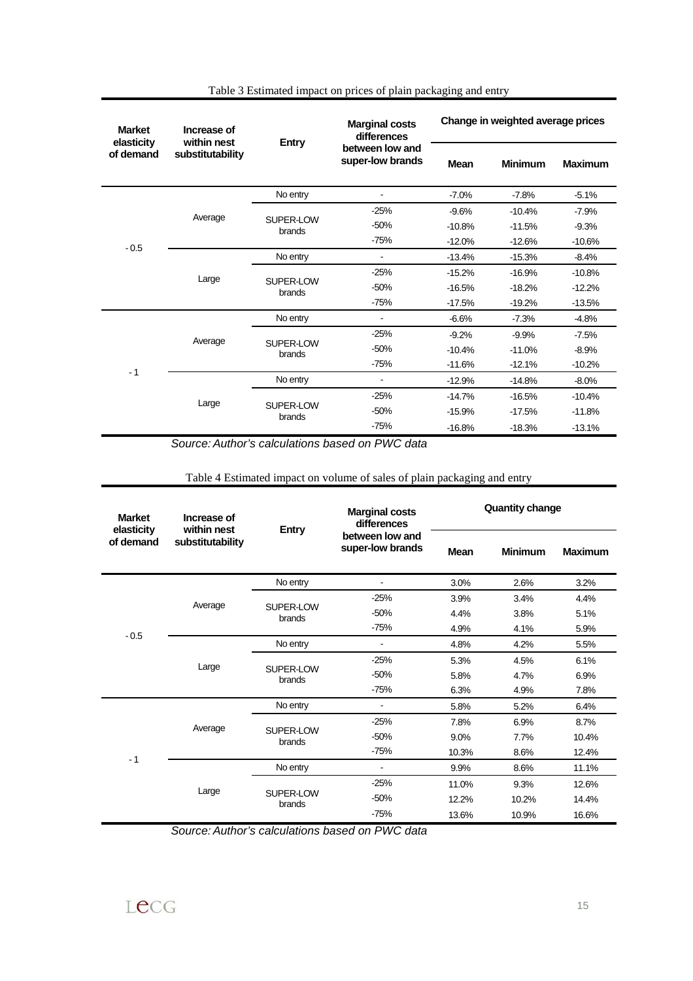| <b>Market</b><br>elasticity              | Increase of                                    | within nest<br><b>Entry</b> |                                                                          | Change in weighted average prices |                        |                |  |
|------------------------------------------|------------------------------------------------|-----------------------------|--------------------------------------------------------------------------|-----------------------------------|------------------------|----------------|--|
| of demand                                | substitutability                               |                             | between low and<br>super-low brands                                      | <b>Mean</b>                       | <b>Minimum</b>         | <b>Maximum</b> |  |
|                                          |                                                | No entry                    | ä,                                                                       | $-7.0%$                           | $-7.8%$                | $-5.1%$        |  |
|                                          | Average                                        |                             | $-25%$                                                                   | $-9.6%$                           | $-10.4%$               | $-7.9%$        |  |
|                                          | SUPER-LOW<br>brands                            | $-50%$                      | $-10.8%$                                                                 | $-11.5%$                          | $-9.3%$                |                |  |
| $-0.5$                                   |                                                |                             | $-75%$                                                                   | $-12.0%$                          | $-12.6%$               | $-10.6%$       |  |
|                                          |                                                | No entry                    | ä,                                                                       | $-13.4%$                          | $-15.3%$               | $-8.4%$        |  |
|                                          | Large                                          | SUPER-LOW                   | $-25%$                                                                   | $-15.2%$                          | $-16.9%$               | $-10.8%$       |  |
|                                          |                                                | brands                      | $-50%$                                                                   | $-16.5%$                          | $-18.2%$               | $-12.2%$       |  |
|                                          |                                                |                             | $-75%$                                                                   | $-17.5%$                          | $-19.2%$               | $-13.5%$       |  |
|                                          |                                                | No entry                    | $\blacksquare$                                                           | $-6.6%$                           | $-7.3%$                | $-4.8%$        |  |
|                                          | Average                                        | SUPER-LOW                   | $-25%$                                                                   | $-9.2%$                           | $-9.9%$                | $-7.5%$        |  |
|                                          | brands                                         | $-50%$                      | $-10.4%$                                                                 | $-11.0%$                          | $-8.9%$                |                |  |
| $-1$                                     |                                                |                             | $-75%$                                                                   | $-11.6%$                          | $-12.1%$               | $-10.2%$       |  |
| Large                                    | No entry                                       | $\overline{a}$              | $-12.9%$                                                                 | $-14.8%$                          | $-8.0%$                |                |  |
|                                          | SUPER-LOW                                      | $-25%$                      | $-14.7%$                                                                 | $-16.5%$                          | $-10.4%$               |                |  |
|                                          | brands                                         | $-50%$                      | $-15.9%$                                                                 | $-17.5%$                          | $-11.8%$               |                |  |
|                                          |                                                |                             | $-75%$<br>Source: Author's calculations based on PWC data                | $-16.8%$                          | $-18.3%$               | $-13.1%$       |  |
|                                          |                                                |                             |                                                                          |                                   |                        |                |  |
|                                          |                                                |                             | Table 4 Estimated impact on volume of sales of plain packaging and entry |                                   |                        |                |  |
| <b>Market</b><br>elasticity<br>of demand | Increase of<br>within nest<br>substitutability | <b>Entry</b>                | <b>Marginal costs</b><br>differences<br>between low and                  |                                   | <b>Quantity change</b> |                |  |
|                                          |                                                |                             | super-low brands                                                         | Mean                              | <b>Minimum</b>         | <b>Maximum</b> |  |
|                                          |                                                | No entry                    | $\blacksquare$                                                           | 3.0%                              | 2.6%                   | 3.2%           |  |
|                                          |                                                |                             | $-25%$                                                                   | 3.9%                              | 3.4%                   | 4.4%           |  |
|                                          | Average                                        | SUPER-LOW<br>brands         | $-50%$                                                                   | 4.4%                              | 3.8%                   | 5.1%           |  |
|                                          |                                                |                             | $-75%$                                                                   | 4.9%                              | 4.1%                   | 5.9%           |  |
| $-0.5$                                   |                                                | No entry                    | $\frac{1}{2}$                                                            | 4.8%                              | 4.2%                   | 5.5%           |  |
|                                          | Large                                          |                             | $-25%$                                                                   | 5.3%                              | 4.5%                   | 6.1%           |  |
|                                          |                                                | SUPER-LOW<br>brands         | $-50%$                                                                   | 5.8%                              | 4.7%                   | 6.9%           |  |
|                                          |                                                |                             | -75%                                                                     | 6.3%                              | 4.9%                   | 7.8%           |  |
|                                          |                                                | No entry                    | $\blacksquare$                                                           | 5.8%                              | 5.2%                   | 6.4%           |  |
|                                          | Average                                        | SUPER-LOW                   | $-25%$                                                                   | 7.8%                              | 6.9%                   | 8.7%           |  |
|                                          |                                                | brands                      | $-50%$                                                                   | 9.0%                              | 7.7%                   | 10.4%          |  |
| - 1                                      |                                                |                             | $-75%$                                                                   | 10.3%                             | 8.6%                   | 12.4%          |  |
|                                          |                                                | No entry                    | $\overline{\phantom{a}}$                                                 | 9.9%                              | 8.6%                   | 11.1%          |  |
|                                          | Large                                          | SUPER-LOW                   | $-25%$                                                                   | 11.0%                             | 9.3%                   | 12.6%          |  |
|                                          |                                                | brands                      | $-50%$<br>$-75%$                                                         | 12.2%<br>13.6%                    | 10.2%<br>10.9%         | 14.4%<br>16.6% |  |

# Table 3 Estimated impact on prices of plain packaging and entry

Lecg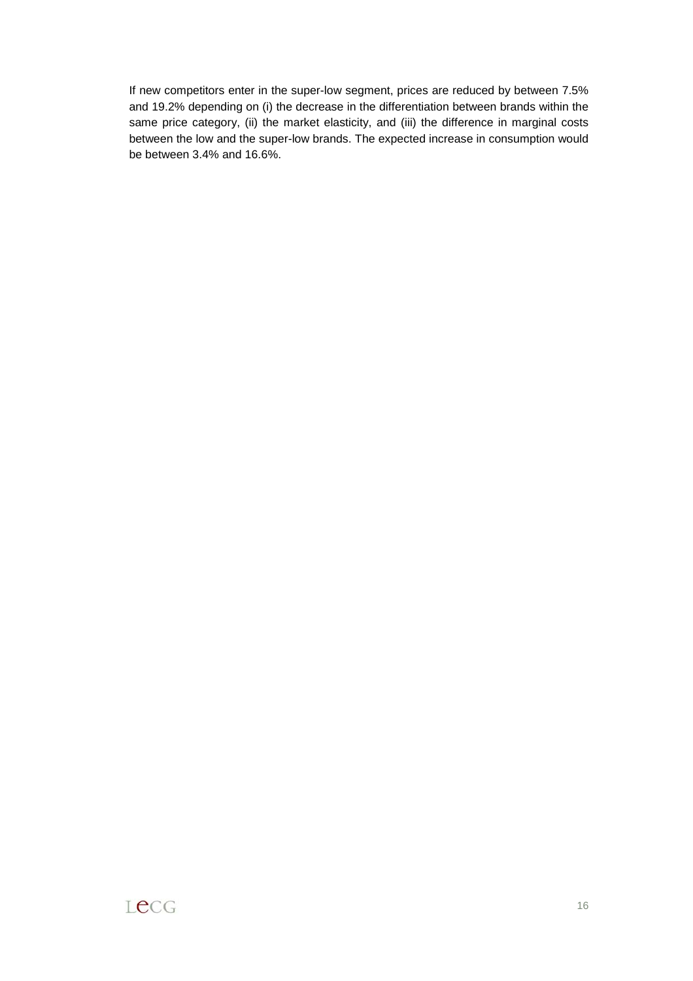If new competitors enter in the super-low segment, prices are reduced by between 7.5% and 19.2% depending on (i) the decrease in the differentiation between brands within the same price category, (ii) the market elasticity, and (iii) the difference in marginal costs between the low and the super-low brands. The expected increase in consumption would be between 3.4% and 16.6%.

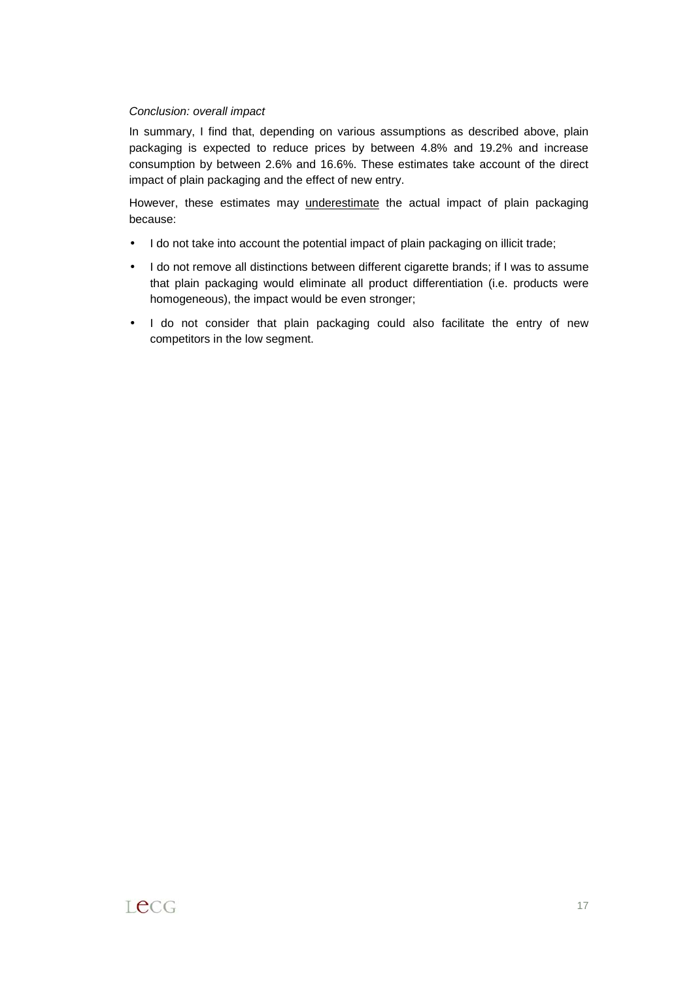# Conclusion: overall impact

In summary, I find that, depending on various assumptions as described above, plain packaging is expected to reduce prices by between 4.8% and 19.2% and increase consumption by between 2.6% and 16.6%. These estimates take account of the direct impact of plain packaging and the effect of new entry.

However, these estimates may underestimate the actual impact of plain packaging because:

- I do not take into account the potential impact of plain packaging on illicit trade;
- I do not remove all distinctions between different cigarette brands; if I was to assume that plain packaging would eliminate all product differentiation (i.e. products were homogeneous), the impact would be even stronger;
- I do not consider that plain packaging could also facilitate the entry of new competitors in the low segment.

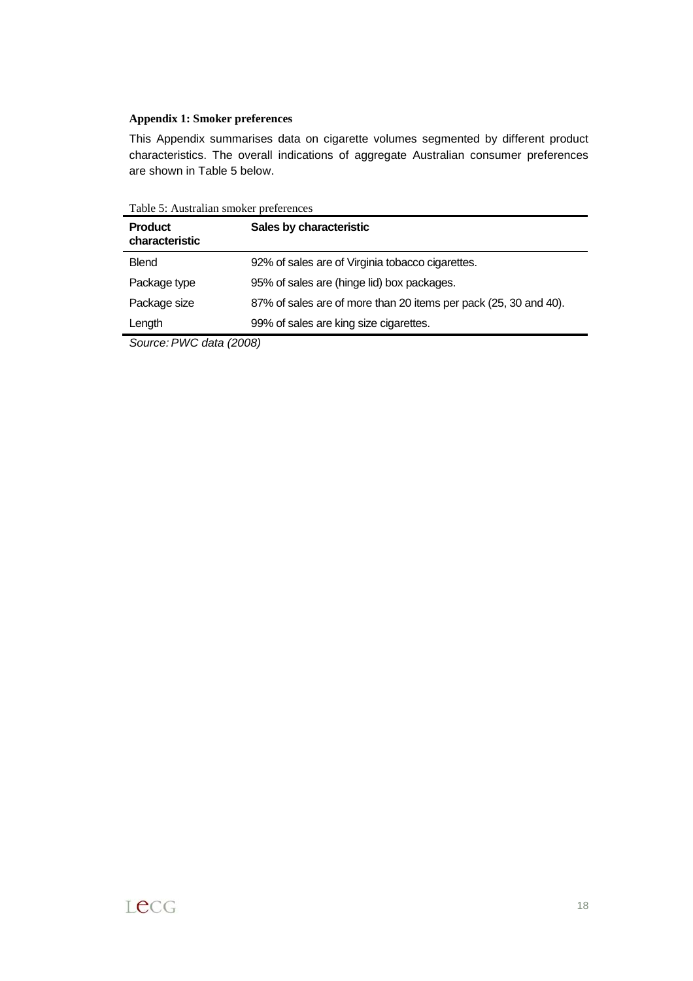#### **Appendix 1: Smoker preferences**

This Appendix summarises data on cigarette volumes segmented by different product characteristics. The overall indications of aggregate Australian consumer preferences are shown in Table 5 below.

Table 5: Australian smoker preferences

| <b>Product</b><br>characteristic | Sales by characteristic                                          |
|----------------------------------|------------------------------------------------------------------|
| <b>Blend</b>                     | 92% of sales are of Virginia tobacco cigarettes.                 |
| Package type                     | 95% of sales are (hinge lid) box packages.                       |
| Package size                     | 87% of sales are of more than 20 items per pack (25, 30 and 40). |
| Length                           | 99% of sales are king size cigarettes.                           |

Source: PWC data (2008)

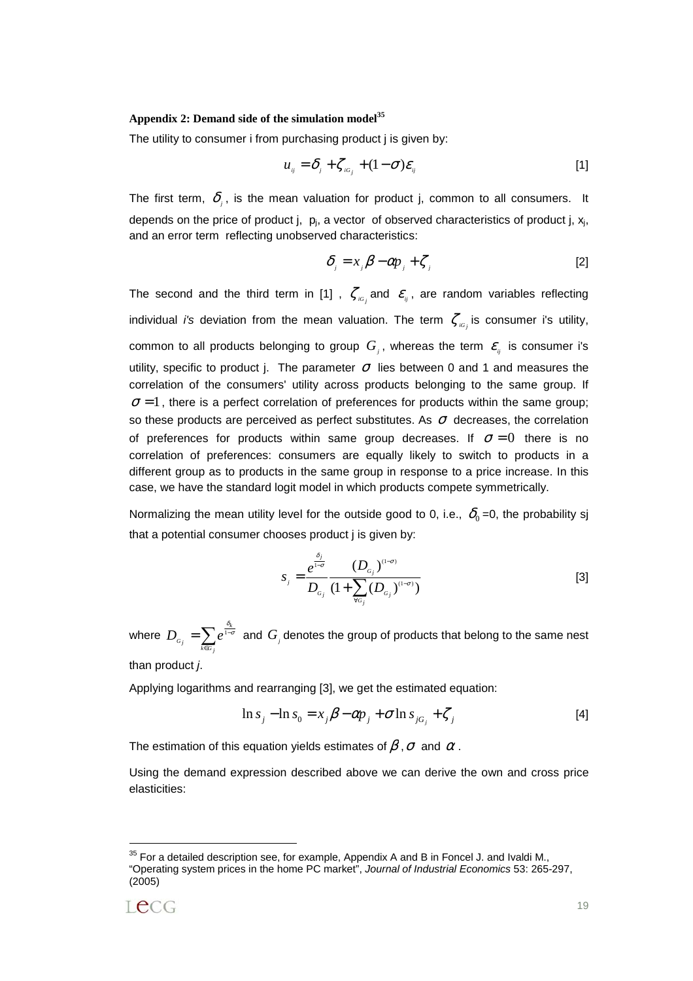#### **Appendix 2: Demand side of the simulation model<sup>35</sup>**

The utility to consumer i from purchasing product j is given by:

$$
u_{ij} = \delta_j + \zeta_{i\sigma_j} + (1 - \sigma)\varepsilon_{ij}
$$
 [1]

The first term,  $\delta$ , is the mean valuation for product j, common to all consumers. It depends on the price of product j,  $p_i$ , a vector of observed characteristics of product j,  $x_i$ , and an error term reflecting unobserved characteristics:

$$
\delta_j = x_j \beta - \alpha p_j + \zeta_j \tag{2}
$$

The second and the third term in [1] ,  $\zeta_{iG_i}$  and  $\varepsilon_{ij}$ , are random variables reflecting individual *i's* deviation from the mean valuation. The term  $\zeta_{\scriptscriptstyle{IG_i}}$  is consumer i's utility, common to all products belonging to group  $G_i$ , whereas the term  $\varepsilon$ <sub>ii</sub> is consumer i's utility, specific to product j. The parameter  $\sigma$  lies between 0 and 1 and measures the correlation of the consumers' utility across products belonging to the same group. If  $\sigma = 1$ , there is a perfect correlation of preferences for products within the same group; so these products are perceived as perfect substitutes. As  $\sigma$  decreases, the correlation of preferences for products within same group decreases. If  $\sigma = 0$  there is no correlation of preferences: consumers are equally likely to switch to products in a different group as to products in the same group in response to a price increase. In this case, we have the standard logit model in which products compete symmetrically.

Normalizing the mean utility level for the outside good to 0, i.e.,  $\delta_0 = 0$ , the probability sj that a potential consumer chooses product j is given by:

$$
s_{j} = \frac{e^{\frac{\delta_{j}}{1-\sigma}}}{D_{\sigma_{j}}} \frac{(D_{\sigma_{j}})^{(1-\sigma)}}{(1+\sum_{\forall\sigma_{j}}(D_{\sigma_{j}})^{(1-\sigma)})}
$$
 [3]

where  $D_{\scriptscriptstyle G_j} = \sum_{\scriptscriptstyle k \in \scriptscriptstyle G_j} e^{\frac{C_j}{1-\gamma}}$  $k \in G$   $j$  $D_{\sigma_j}=\sum e^{\frac{\delta_k}{1-\sigma}}$  and  $G_j$  denotes the group of products that belong to the same nest

than product j.

Applying logarithms and rearranging [3], we get the estimated equation:

$$
\ln s_j - \ln s_0 = x_j \beta - \alpha p_j + \sigma \ln s_{jG_j} + \zeta_j
$$
 [4]

The estimation of this equation yields estimates of  $\beta$ ,  $\sigma$  and  $\alpha$ .

Using the demand expression described above we can derive the own and cross price elasticities:

 $35$  For a detailed description see, for example, Appendix A and B in Foncel J. and Ivaldi M., "Operating system prices in the home PC market", Journal of Industrial Economics 53: 265-297, (2005)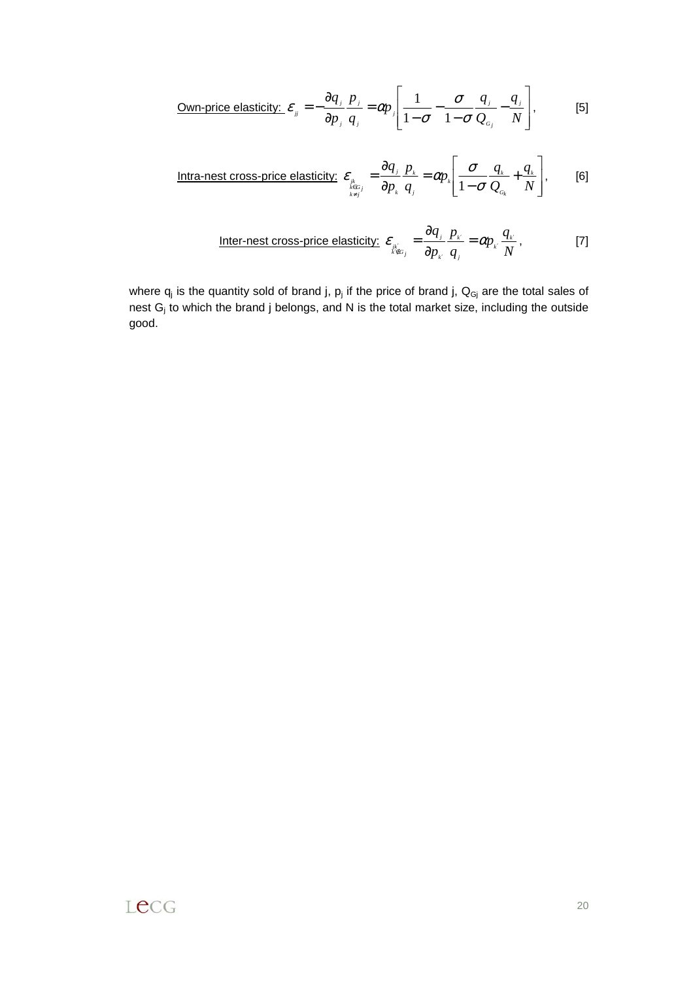$$
\text{Own-price elasticity: } \varepsilon_{ij} = -\frac{\partial q_j}{\partial p_j} \frac{p_j}{q_j} = \alpha p_j \left[ \frac{1}{1 - \sigma} - \frac{\sigma}{1 - \sigma} \frac{q_j}{Q_{c_j}} - \frac{q_j}{N} \right], \tag{5}
$$

Intra-nest cross-price elasticity: 
$$
\varepsilon_{\sum_{k \in G_j \atop k \neq j}} = \frac{\partial q_j}{\partial p_k} \frac{p_k}{q_j} = \alpha p_k \left[ \frac{\sigma}{1 - \sigma} \frac{q_k}{Q_{c_k}} + \frac{q_k}{N} \right],
$$
 [6]

Inter-nest cross-price elasticity: 
$$
\varepsilon_{\frac{\partial}{\partial p_k}} = \frac{\partial q_j}{\partial p_k} \frac{p_{k'}}{q_j} = \alpha p_k \frac{q_{k'}}{N}
$$
, [7]

where  $q_j$  is the quantity sold of brand j,  $p_j$  if the price of brand j,  $Q_{Gj}$  are the total sales of nest  $G_j$  to which the brand j belongs, and N is the total market size, including the outside good.

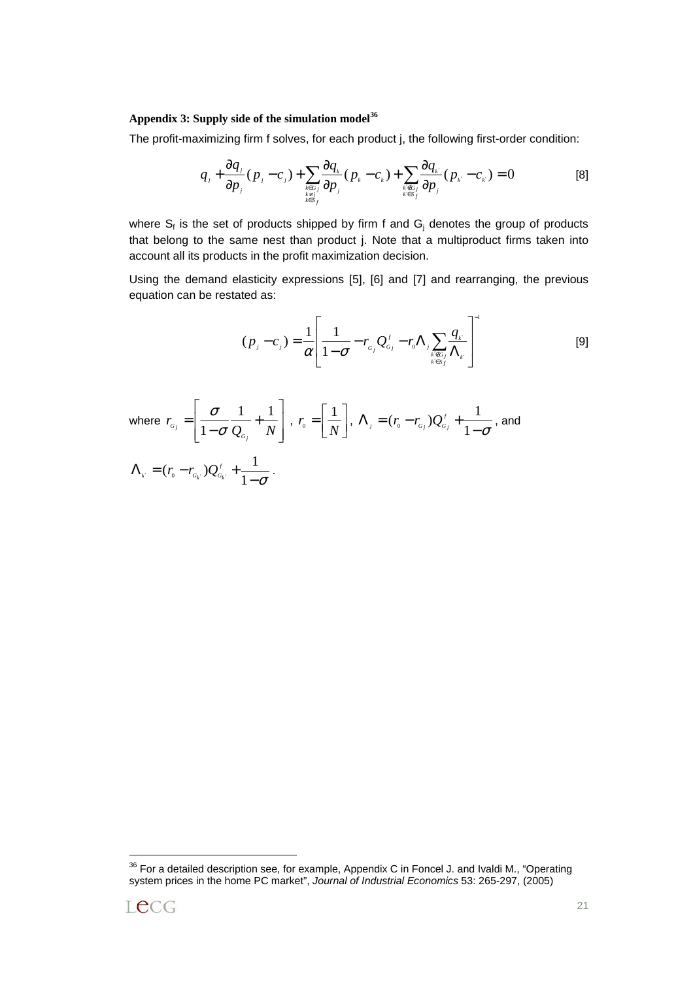# **Appendix 3: Supply side of the simulation model<sup>36</sup>**

The profit-maximizing firm f solves, for each product j, the following first-order condition:

$$
q_j + \frac{\partial q_j}{\partial p_j}(p_j - c_j) + \sum_{\substack{k \in G_j \\ k \neq j \\ k \in S_j}} \frac{\partial q_k}{\partial p_j}(p_k - c_k) + \sum_{\substack{k \in G_j \\ k \in S_j}} \frac{\partial q_k}{\partial p_j}(p_k - c_k) = 0
$$
 [8]

where  $S_f$  is the set of products shipped by firm f and  $G_j$  denotes the group of products that belong to the same nest than product j. Note that a multiproduct firms taken into account all its products in the profit maximization decision.

Using the demand elasticity expressions [5], [6] and [7] and rearranging, the previous equation can be restated as:

$$
(p_j - c_j) = \frac{1}{\alpha} \left[ \frac{1}{1 - \sigma} - r_{\alpha_j} Q_{\alpha_j}^f - r_{\alpha} \Lambda_j \sum_{\substack{k \in G_j \\ k \in S_f}} \frac{q_{k'}}{\Lambda_k} \right]^{-1}
$$
 [9]

where 
$$
r_{c_j} = \left[ \frac{\sigma}{1 - \sigma} \frac{1}{Q_{c_j}} + \frac{1}{N} \right]
$$
,  $r_o = \left[ \frac{1}{N} \right]$ ,  $\Lambda_j = (r_o - r_{c_j})Q_{c_j}^{\prime} + \frac{1}{1 - \sigma}$ , and  
\n
$$
\Lambda_k = (r_o - r_{c_k})Q_{c_k}^{\prime} + \frac{1}{1 - \sigma}.
$$

 $36$  For a detailed description see, for example, Appendix C in Foncel J. and Ivaldi M., "Operating system prices in the home PC market", Journal of Industrial Economics 53: 265-297, (2005)

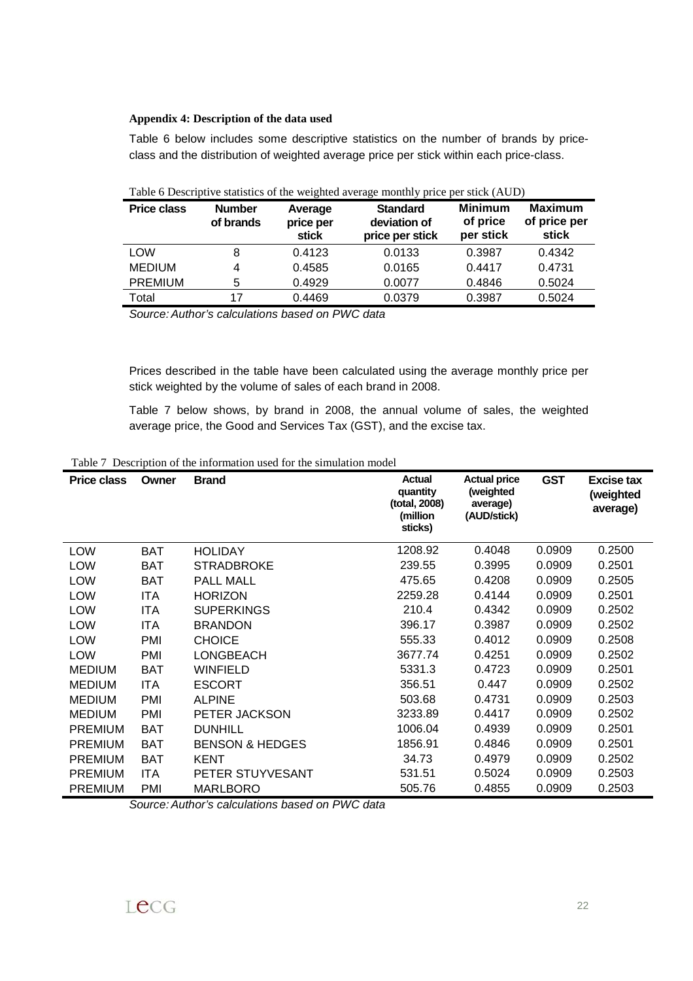#### **Appendix 4: Description of the data used**

Table 6 below includes some descriptive statistics on the number of brands by priceclass and the distribution of weighted average price per stick within each price-class.

| $1.010 \times 1.001$ $\mu$ . $\sigma$ becomes the $\sigma$ expliced at stage moment $\mu$ prior between $(1.101)$ |                            |                                      |                                                    |                                         |                                         |  |  |  |  |  |
|-------------------------------------------------------------------------------------------------------------------|----------------------------|--------------------------------------|----------------------------------------------------|-----------------------------------------|-----------------------------------------|--|--|--|--|--|
| <b>Price class</b>                                                                                                | <b>Number</b><br>of brands | Average<br>price per<br><b>stick</b> | <b>Standard</b><br>deviation of<br>price per stick | <b>Minimum</b><br>of price<br>per stick | <b>Maximum</b><br>of price per<br>stick |  |  |  |  |  |
| <b>LOW</b>                                                                                                        | 8                          | 0.4123                               | 0.0133                                             | 0.3987                                  | 0.4342                                  |  |  |  |  |  |
| <b>MEDIUM</b>                                                                                                     | 4                          | 0.4585                               | 0.0165                                             | 0.4417                                  | 0.4731                                  |  |  |  |  |  |
| <b>PREMIUM</b>                                                                                                    | 5                          | 0.4929                               | 0.0077                                             | 0.4846                                  | 0.5024                                  |  |  |  |  |  |
| Total                                                                                                             | 17                         | 0.4469                               | 0.0379                                             | 0.3987                                  | 0.5024                                  |  |  |  |  |  |
|                                                                                                                   |                            |                                      |                                                    |                                         |                                         |  |  |  |  |  |

Table 6 Descriptive statistics of the weighted average monthly price per stick (AUD)

Source: Author's calculations based on PWC data

Prices described in the table have been calculated using the average monthly price per stick weighted by the volume of sales of each brand in 2008.

Table 7 below shows, by brand in 2008, the annual volume of sales, the weighted average price, the Good and Services Tax (GST), and the excise tax.

Table 7 Description of the information used for the simulation model

| <b>Price class</b> | Owner      | <b>Brand</b>               | <b>Actual</b><br>quantity<br>(total, 2008)<br>(million<br>sticks) | <b>Actual price</b><br>(weighted<br>average)<br>(AUD/stick) | <b>GST</b> | Excise tax<br>(weighted<br>average) |
|--------------------|------------|----------------------------|-------------------------------------------------------------------|-------------------------------------------------------------|------------|-------------------------------------|
| <b>LOW</b>         | <b>BAT</b> | <b>HOLIDAY</b>             | 1208.92                                                           | 0.4048                                                      | 0.0909     | 0.2500                              |
| <b>LOW</b>         | <b>BAT</b> | <b>STRADBROKE</b>          | 239.55                                                            | 0.3995                                                      | 0.0909     | 0.2501                              |
| <b>LOW</b>         | <b>BAT</b> | PALL MALL                  | 475.65                                                            | 0.4208                                                      | 0.0909     | 0.2505                              |
| LOW                | <b>ITA</b> | <b>HORIZON</b>             | 2259.28                                                           | 0.4144                                                      | 0.0909     | 0.2501                              |
| <b>LOW</b>         | <b>ITA</b> | <b>SUPERKINGS</b>          | 210.4                                                             | 0.4342                                                      | 0.0909     | 0.2502                              |
| <b>LOW</b>         | <b>ITA</b> | <b>BRANDON</b>             | 396.17                                                            | 0.3987                                                      | 0.0909     | 0.2502                              |
| LOW                | <b>PMI</b> | <b>CHOICE</b>              | 555.33                                                            | 0.4012                                                      | 0.0909     | 0.2508                              |
| <b>LOW</b>         | PMI        | LONGBEACH                  | 3677.74                                                           | 0.4251                                                      | 0.0909     | 0.2502                              |
| <b>MEDIUM</b>      | BAT        | <b>WINFIELD</b>            | 5331.3                                                            | 0.4723                                                      | 0.0909     | 0.2501                              |
| <b>MEDIUM</b>      | <b>ITA</b> | <b>ESCORT</b>              | 356.51                                                            | 0.447                                                       | 0.0909     | 0.2502                              |
| <b>MEDIUM</b>      | PMI        | <b>ALPINE</b>              | 503.68                                                            | 0.4731                                                      | 0.0909     | 0.2503                              |
| <b>MEDIUM</b>      | <b>PMI</b> | PETER JACKSON              | 3233.89                                                           | 0.4417                                                      | 0.0909     | 0.2502                              |
| <b>PREMIUM</b>     | <b>BAT</b> | <b>DUNHILL</b>             | 1006.04                                                           | 0.4939                                                      | 0.0909     | 0.2501                              |
| <b>PREMIUM</b>     | <b>BAT</b> | <b>BENSON &amp; HEDGES</b> | 1856.91                                                           | 0.4846                                                      | 0.0909     | 0.2501                              |
| <b>PREMIUM</b>     | <b>BAT</b> | <b>KENT</b>                | 34.73                                                             | 0.4979                                                      | 0.0909     | 0.2502                              |
| <b>PREMIUM</b>     | <b>ITA</b> | PETER STUYVESANT           | 531.51                                                            | 0.5024                                                      | 0.0909     | 0.2503                              |
| <b>PREMIUM</b>     | PMI        | <b>MARLBORO</b>            | 505.76                                                            | 0.4855                                                      | 0.0909     | 0.2503                              |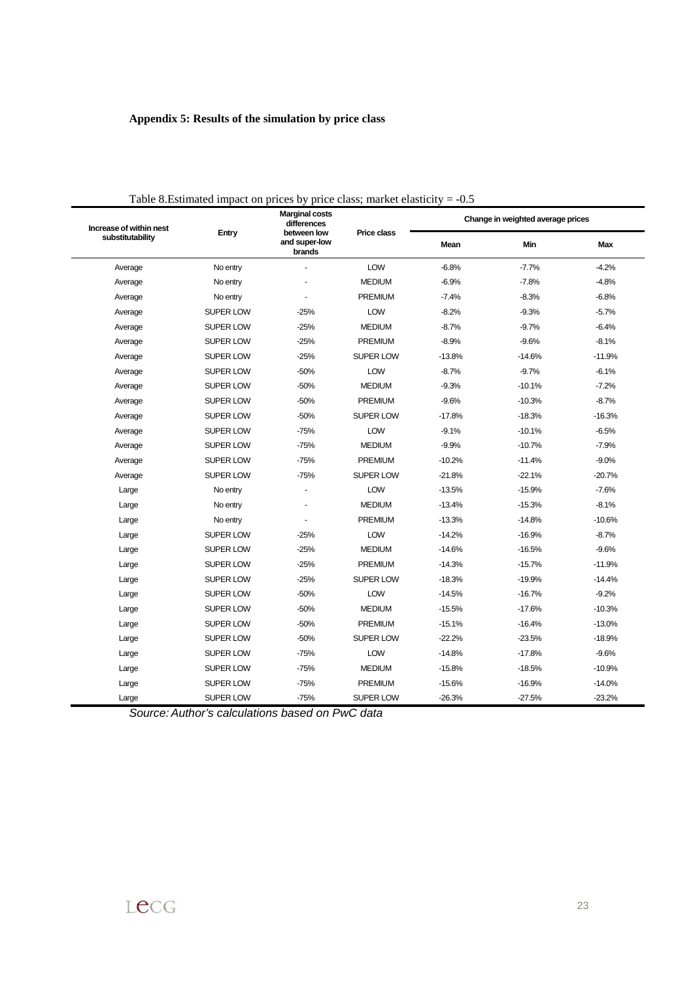# **Appendix 5: Results of the simulation by price class**

| Increase of within nest | I able 8. Estimated impact on prices by price class; market elasticity $=$ -0.5 | <b>Marginal costs</b><br>differences   |                    |          | Change in weighted average prices |            |
|-------------------------|---------------------------------------------------------------------------------|----------------------------------------|--------------------|----------|-----------------------------------|------------|
| substitutability        | Entry                                                                           | between low<br>and super-low<br>brands | <b>Price class</b> | Mean     | Min                               | <b>Max</b> |
| Average                 | No entry                                                                        |                                        | LOW                | $-6.8%$  | $-7.7%$                           | $-4.2%$    |
| Average                 | No entry                                                                        |                                        | <b>MEDIUM</b>      | $-6.9%$  | $-7.8%$                           | $-4.8%$    |
| Average                 | No entry                                                                        | ä,                                     | <b>PREMIUM</b>     | $-7.4%$  | $-8.3%$                           | $-6.8%$    |
| Average                 | SUPER LOW                                                                       | $-25%$                                 | LOW                | $-8.2%$  | $-9.3%$                           | $-5.7%$    |
| Average                 | SUPER LOW                                                                       | $-25%$                                 | <b>MEDIUM</b>      | $-8.7%$  | $-9.7%$                           | $-6.4%$    |
| Average                 | SUPER LOW                                                                       | $-25%$                                 | <b>PREMIUM</b>     | $-8.9%$  | $-9.6%$                           | $-8.1%$    |
| Average                 | SUPER LOW                                                                       | $-25%$                                 | <b>SUPER LOW</b>   | $-13.8%$ | $-14.6%$                          | $-11.9%$   |
| Average                 | SUPER LOW                                                                       | $-50%$                                 | LOW                | $-8.7%$  | $-9.7%$                           | $-6.1%$    |
| Average                 | SUPER LOW                                                                       | $-50%$                                 | <b>MEDIUM</b>      | $-9.3%$  | $-10.1%$                          | $-7.2%$    |
| Average                 | SUPER LOW                                                                       | $-50%$                                 | <b>PREMIUM</b>     | $-9.6%$  | $-10.3%$                          | $-8.7%$    |
| Average                 | SUPER LOW                                                                       | $-50%$                                 | <b>SUPER LOW</b>   | $-17.8%$ | $-18.3%$                          | $-16.3%$   |
| Average                 | SUPER LOW                                                                       | $-75%$                                 | LOW                | $-9.1%$  | $-10.1%$                          | $-6.5%$    |
| Average                 | SUPER LOW                                                                       | $-75%$                                 | <b>MEDIUM</b>      | $-9.9%$  | $-10.7%$                          | $-7.9%$    |
| Average                 | <b>SUPER LOW</b>                                                                | $-75%$                                 | <b>PREMIUM</b>     | $-10.2%$ | $-11.4%$                          | $-9.0%$    |
| Average                 | <b>SUPER LOW</b>                                                                | $-75%$                                 | <b>SUPER LOW</b>   | $-21.8%$ | $-22.1%$                          | $-20.7%$   |
| Large                   | No entry                                                                        | ä,                                     | LOW                | $-13.5%$ | $-15.9%$                          | $-7.6%$    |
| Large                   | No entry                                                                        |                                        | <b>MEDIUM</b>      | $-13.4%$ | $-15.3%$                          | $-8.1%$    |
| Large                   | No entry                                                                        | ÷,                                     | <b>PREMIUM</b>     | $-13.3%$ | $-14.8%$                          | $-10.6%$   |
| Large                   | <b>SUPER LOW</b>                                                                | $-25%$                                 | LOW                | $-14.2%$ | $-16.9%$                          | $-8.7%$    |
| Large                   | SUPER LOW                                                                       | $-25%$                                 | <b>MEDIUM</b>      | $-14.6%$ | $-16.5%$                          | $-9.6%$    |
| Large                   | SUPER LOW                                                                       | $-25%$                                 | <b>PREMIUM</b>     | $-14.3%$ | $-15.7%$                          | $-11.9%$   |
| Large                   | SUPER LOW                                                                       | $-25%$                                 | <b>SUPER LOW</b>   | $-18.3%$ | $-19.9%$                          | $-14.4%$   |
| Large                   | SUPER LOW                                                                       | $-50%$                                 | LOW                | $-14.5%$ | $-16.7%$                          | $-9.2%$    |
| Large                   | SUPER LOW                                                                       | $-50%$                                 | <b>MEDIUM</b>      | $-15.5%$ | $-17.6%$                          | $-10.3%$   |
| Large                   | SUPER LOW                                                                       | $-50%$                                 | <b>PREMIUM</b>     | $-15.1%$ | $-16.4%$                          | $-13.0%$   |
| Large                   | <b>SUPER LOW</b>                                                                | $-50%$                                 | <b>SUPER LOW</b>   | $-22.2%$ | $-23.5%$                          | $-18.9%$   |
| Large                   | SUPER LOW                                                                       | $-75%$                                 | LOW                | $-14.8%$ | $-17.8%$                          | $-9.6%$    |
| Large                   | SUPER LOW                                                                       | $-75%$                                 | <b>MEDIUM</b>      | $-15.8%$ | $-18.5%$                          | $-10.9%$   |
| Large                   | SUPER LOW                                                                       | $-75%$                                 | PREMIUM            | $-15.6%$ | $-16.9%$                          | $-14.0%$   |
| Large                   | <b>SUPER LOW</b>                                                                | $-75%$                                 | SUPER LOW          | $-26.3%$ | $-27.5%$                          | $-23.2%$   |

Table 8. Estimated impact on prices by price class; market elasticity  $-10.5$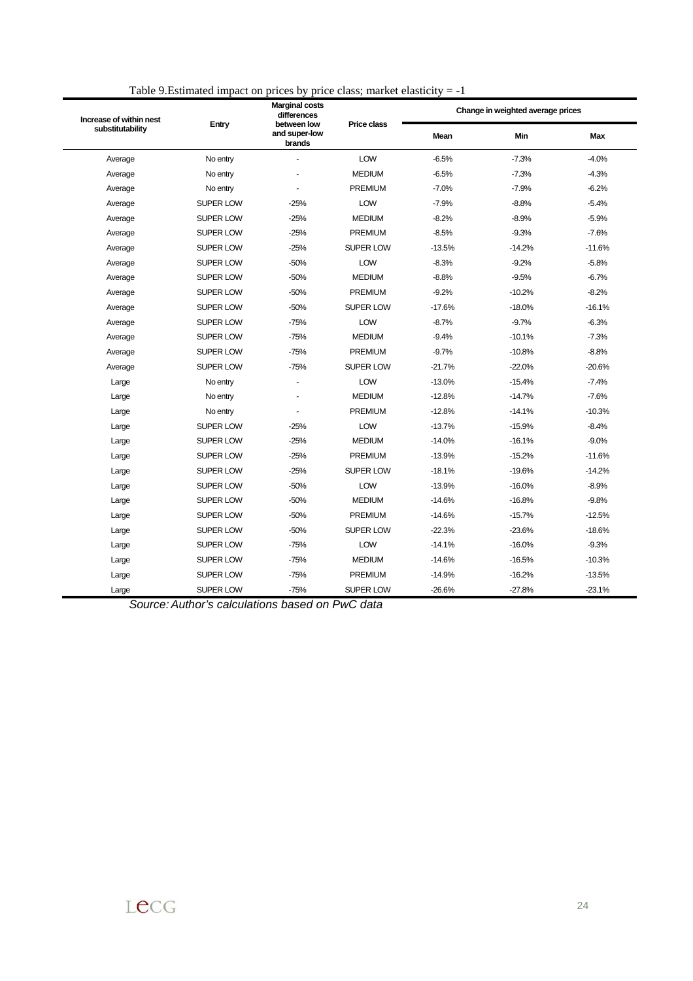| Increase of within nest<br>substitutability |                  | <b>Marginal costs</b><br>differences   |                    |             | Change in weighted average prices |            |
|---------------------------------------------|------------------|----------------------------------------|--------------------|-------------|-----------------------------------|------------|
|                                             | Entry            | between low<br>and super-low<br>brands | <b>Price class</b> | <b>Mean</b> | Min                               | <b>Max</b> |
| Average                                     | No entry         | ä,                                     | LOW                | $-6.5%$     | $-7.3%$                           | $-4.0%$    |
| Average                                     | No entry         | ä,                                     | <b>MEDIUM</b>      | $-6.5%$     | $-7.3%$                           | $-4.3%$    |
| Average                                     | No entry         | ٠                                      | <b>PREMIUM</b>     | $-7.0%$     | $-7.9%$                           | $-6.2%$    |
| Average                                     | <b>SUPER LOW</b> | $-25%$                                 | LOW                | $-7.9%$     | $-8.8%$                           | $-5.4%$    |
| Average                                     | <b>SUPER LOW</b> | $-25%$                                 | <b>MEDIUM</b>      | $-8.2%$     | $-8.9%$                           | $-5.9%$    |
| Average                                     | <b>SUPER LOW</b> | $-25%$                                 | PREMIUM            | $-8.5%$     | $-9.3%$                           | $-7.6%$    |
| Average                                     | <b>SUPER LOW</b> | $-25%$                                 | <b>SUPER LOW</b>   | $-13.5%$    | $-14.2%$                          | $-11.6%$   |
| Average                                     | <b>SUPER LOW</b> | $-50%$                                 | <b>LOW</b>         | $-8.3%$     | $-9.2%$                           | $-5.8%$    |
| Average                                     | <b>SUPER LOW</b> | $-50%$                                 | <b>MEDIUM</b>      | $-8.8%$     | $-9.5%$                           | $-6.7%$    |
| Average                                     | <b>SUPER LOW</b> | $-50%$                                 | <b>PREMIUM</b>     | $-9.2%$     | $-10.2%$                          | $-8.2%$    |
| Average                                     | <b>SUPER LOW</b> | $-50%$                                 | <b>SUPER LOW</b>   | $-17.6%$    | $-18.0%$                          | $-16.1%$   |
| Average                                     | <b>SUPER LOW</b> | $-75%$                                 | LOW                | $-8.7%$     | $-9.7%$                           | $-6.3%$    |
| Average                                     | <b>SUPER LOW</b> | $-75%$                                 | <b>MEDIUM</b>      | $-9.4%$     | $-10.1%$                          | $-7.3%$    |
| Average                                     | <b>SUPER LOW</b> | $-75%$                                 | PREMIUM            | $-9.7%$     | $-10.8%$                          | $-8.8%$    |
| Average                                     | <b>SUPER LOW</b> | $-75%$                                 | <b>SUPER LOW</b>   | $-21.7%$    | $-22.0%$                          | $-20.6%$   |
| Large                                       | No entry         | ä,                                     | LOW                | $-13.0%$    | $-15.4%$                          | $-7.4%$    |
| Large                                       | No entry         | $\ddot{\phantom{1}}$                   | <b>MEDIUM</b>      | $-12.8%$    | $-14.7%$                          | $-7.6%$    |
| Large                                       | No entry         | ä,                                     | <b>PREMIUM</b>     | $-12.8%$    | $-14.1%$                          | $-10.3%$   |
| Large                                       | <b>SUPER LOW</b> | $-25%$                                 | LOW                | $-13.7%$    | $-15.9%$                          | $-8.4%$    |
| Large                                       | <b>SUPER LOW</b> | $-25%$                                 | <b>MEDIUM</b>      | $-14.0%$    | $-16.1%$                          | $-9.0%$    |
| Large                                       | <b>SUPER LOW</b> | $-25%$                                 | <b>PREMIUM</b>     | $-13.9%$    | $-15.2%$                          | $-11.6%$   |
| Large                                       | <b>SUPER LOW</b> | $-25%$                                 | <b>SUPER LOW</b>   | $-18.1%$    | $-19.6%$                          | $-14.2%$   |
| Large                                       | <b>SUPER LOW</b> | $-50%$                                 | LOW                | $-13.9%$    | $-16.0%$                          | $-8.9%$    |
| Large                                       | <b>SUPER LOW</b> | $-50%$                                 | <b>MEDIUM</b>      | $-14.6%$    | $-16.8%$                          | $-9.8%$    |
| Large                                       | <b>SUPER LOW</b> | $-50%$                                 | <b>PREMIUM</b>     | $-14.6%$    | $-15.7%$                          | $-12.5%$   |
| Large                                       | <b>SUPER LOW</b> | $-50%$                                 | <b>SUPER LOW</b>   | $-22.3%$    | $-23.6%$                          | $-18.6%$   |
| Large                                       | <b>SUPER LOW</b> | $-75%$                                 | <b>LOW</b>         | $-14.1%$    | $-16.0%$                          | $-9.3%$    |
| Large                                       | <b>SUPER LOW</b> | $-75%$                                 | <b>MEDIUM</b>      | $-14.6%$    | $-16.5%$                          | $-10.3%$   |
| Large                                       | <b>SUPER LOW</b> | $-75%$                                 | <b>PREMIUM</b>     | $-14.9%$    | $-16.2%$                          | $-13.5%$   |
| Large                                       | <b>SUPER LOW</b> | $-75%$                                 | <b>SUPER LOW</b>   | $-26.6%$    | $-27.8%$                          | $-23.1%$   |

Table 9. Estimated impact on prices by price class; market elasticity  $= -1$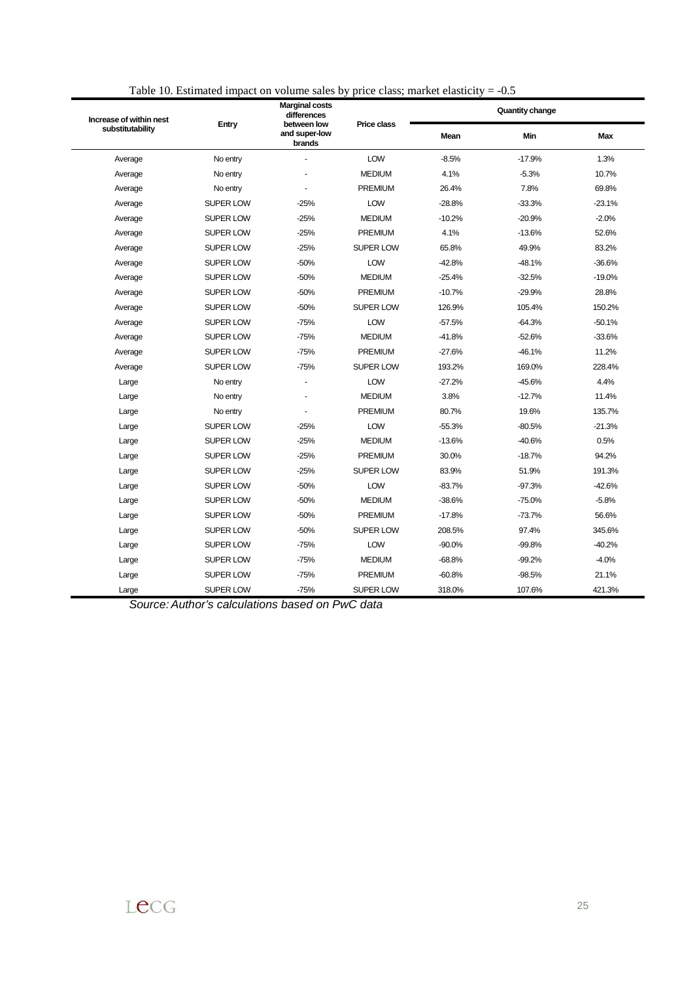| Increase of within nest<br>substitutability |                  | <b>Marginal costs</b><br>differences   |                    |             | Quantity change |            |  |  |  |
|---------------------------------------------|------------------|----------------------------------------|--------------------|-------------|-----------------|------------|--|--|--|
|                                             | Entry            | between low<br>and super-low<br>brands | <b>Price class</b> | <b>Mean</b> | Min             | <b>Max</b> |  |  |  |
| Average                                     | No entry         |                                        | LOW                | $-8.5%$     | $-17.9%$        | 1.3%       |  |  |  |
| Average                                     | No entry         |                                        | <b>MEDIUM</b>      | 4.1%        | $-5.3%$         | 10.7%      |  |  |  |
| Average                                     | No entry         |                                        | <b>PREMIUM</b>     | 26.4%       | 7.8%            | 69.8%      |  |  |  |
| Average                                     | <b>SUPER LOW</b> | $-25%$                                 | LOW                | $-28.8%$    | $-33.3%$        | $-23.1%$   |  |  |  |
| Average                                     | SUPER LOW        | $-25%$                                 | <b>MEDIUM</b>      | $-10.2%$    | $-20.9%$        | $-2.0%$    |  |  |  |
| Average                                     | <b>SUPER LOW</b> | $-25%$                                 | <b>PREMIUM</b>     | 4.1%        | $-13.6%$        | 52.6%      |  |  |  |
| Average                                     | SUPER LOW        | $-25%$                                 | <b>SUPER LOW</b>   | 65.8%       | 49.9%           | 83.2%      |  |  |  |
| Average                                     | <b>SUPER LOW</b> | $-50%$                                 | LOW                | $-42.8%$    | $-48.1%$        | $-36.6%$   |  |  |  |
| Average                                     | SUPER LOW        | $-50%$                                 | <b>MEDIUM</b>      | $-25.4%$    | $-32.5%$        | $-19.0%$   |  |  |  |
| Average                                     | <b>SUPER LOW</b> | $-50%$                                 | <b>PREMIUM</b>     | $-10.7%$    | $-29.9%$        | 28.8%      |  |  |  |
| Average                                     | <b>SUPER LOW</b> | $-50%$                                 | <b>SUPER LOW</b>   | 126.9%      | 105.4%          | 150.2%     |  |  |  |
| Average                                     | SUPER LOW        | $-75%$                                 | LOW                | $-57.5%$    | $-64.3%$        | $-50.1%$   |  |  |  |
| Average                                     | SUPER LOW        | $-75%$                                 | <b>MEDIUM</b>      | $-41.8%$    | $-52.6%$        | $-33.6%$   |  |  |  |
| Average                                     | SUPER LOW        | $-75%$                                 | <b>PREMIUM</b>     | $-27.6%$    | $-46.1%$        | 11.2%      |  |  |  |
| Average                                     | <b>SUPER LOW</b> | $-75%$                                 | <b>SUPER LOW</b>   | 193.2%      | 169.0%          | 228.4%     |  |  |  |
| Large                                       | No entry         | ÷.                                     | LOW                | $-27.2%$    | $-45.6%$        | 4.4%       |  |  |  |
| Large                                       | No entry         | $\overline{a}$                         | <b>MEDIUM</b>      | 3.8%        | $-12.7%$        | 11.4%      |  |  |  |
| Large                                       | No entry         |                                        | <b>PREMIUM</b>     | 80.7%       | 19.6%           | 135.7%     |  |  |  |
| Large                                       | SUPER LOW        | $-25%$                                 | LOW                | $-55.3%$    | $-80.5%$        | $-21.3%$   |  |  |  |
| Large                                       | SUPER LOW        | $-25%$                                 | <b>MEDIUM</b>      | $-13.6%$    | $-40.6%$        | 0.5%       |  |  |  |
| Large                                       | SUPER LOW        | $-25%$                                 | <b>PREMIUM</b>     | 30.0%       | $-18.7%$        | 94.2%      |  |  |  |
| Large                                       | SUPER LOW        | $-25%$                                 | <b>SUPER LOW</b>   | 83.9%       | 51.9%           | 191.3%     |  |  |  |
| Large                                       | <b>SUPER LOW</b> | $-50%$                                 | LOW                | $-83.7%$    | $-97.3%$        | $-42.6%$   |  |  |  |
| Large                                       | SUPER LOW        | $-50%$                                 | <b>MEDIUM</b>      | $-38.6%$    | $-75.0%$        | $-5.8%$    |  |  |  |
| Large                                       | <b>SUPER LOW</b> | $-50%$                                 | <b>PREMIUM</b>     | $-17.8%$    | $-73.7%$        | 56.6%      |  |  |  |
| Large                                       | <b>SUPER LOW</b> | $-50%$                                 | <b>SUPER LOW</b>   | 208.5%      | 97.4%           | 345.6%     |  |  |  |
| Large                                       | SUPER LOW        | $-75%$                                 | LOW                | $-90.0%$    | $-99.8%$        | $-40.2%$   |  |  |  |
| Large                                       | SUPER LOW        | $-75%$                                 | <b>MEDIUM</b>      | $-68.8%$    | $-99.2%$        | $-4.0%$    |  |  |  |
| Large                                       | SUPER LOW        | $-75%$                                 | <b>PREMIUM</b>     | $-60.8%$    | $-98.5%$        | 21.1%      |  |  |  |
| Large                                       | <b>SUPER LOW</b> | $-75%$                                 | <b>SUPER LOW</b>   | 318.0%      | 107.6%          | 421.3%     |  |  |  |

Table 10. Estimated impact on volume sales by price class; market elasticity = -0.5